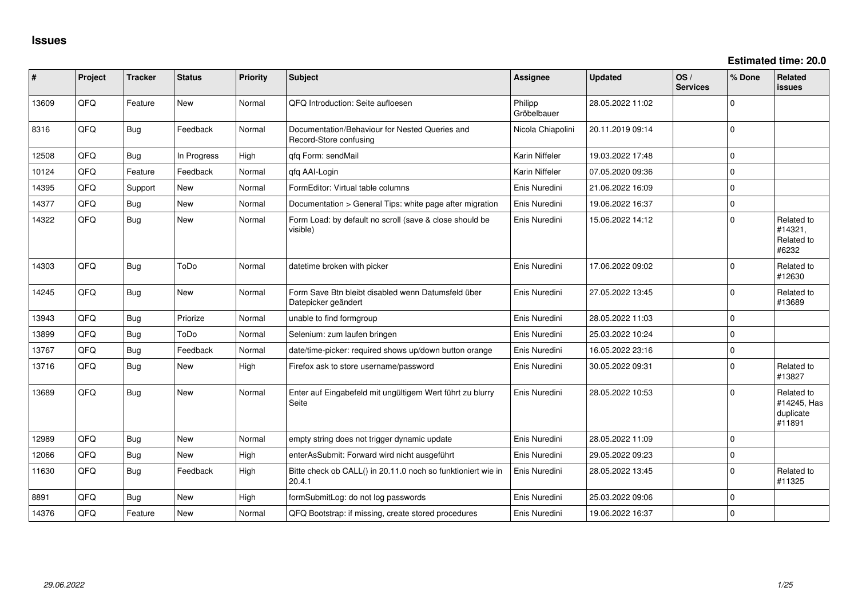| #     | Project | <b>Tracker</b> | <b>Status</b> | <b>Priority</b> | <b>Subject</b>                                                            | <b>Assignee</b>        | <b>Updated</b>   | OS/<br><b>Services</b> | % Done      | <b>Related</b><br><b>issues</b>                  |
|-------|---------|----------------|---------------|-----------------|---------------------------------------------------------------------------|------------------------|------------------|------------------------|-------------|--------------------------------------------------|
| 13609 | QFQ     | Feature        | <b>New</b>    | Normal          | QFQ Introduction: Seite aufloesen                                         | Philipp<br>Gröbelbauer | 28.05.2022 11:02 |                        | $\mathbf 0$ |                                                  |
| 8316  | QFQ     | Bug            | Feedback      | Normal          | Documentation/Behaviour for Nested Queries and<br>Record-Store confusing  | Nicola Chiapolini      | 20.11.2019 09:14 |                        | $\mathbf 0$ |                                                  |
| 12508 | QFQ     | Bug            | In Progress   | High            | gfg Form: sendMail                                                        | Karin Niffeler         | 19.03.2022 17:48 |                        | $\mathbf 0$ |                                                  |
| 10124 | QFQ     | Feature        | Feedback      | Normal          | qfq AAI-Login                                                             | Karin Niffeler         | 07.05.2020 09:36 |                        | $\mathbf 0$ |                                                  |
| 14395 | QFQ     | Support        | <b>New</b>    | Normal          | FormEditor: Virtual table columns                                         | Enis Nuredini          | 21.06.2022 16:09 |                        | $\mathbf 0$ |                                                  |
| 14377 | QFQ     | Bug            | New           | Normal          | Documentation > General Tips: white page after migration                  | Enis Nuredini          | 19.06.2022 16:37 |                        | $\mathbf 0$ |                                                  |
| 14322 | QFQ     | <b>Bug</b>     | New           | Normal          | Form Load: by default no scroll (save & close should be<br>visible)       | Enis Nuredini          | 15.06.2022 14:12 |                        | $\mathbf 0$ | Related to<br>#14321,<br>Related to<br>#6232     |
| 14303 | QFQ     | <b>Bug</b>     | ToDo          | Normal          | datetime broken with picker                                               | Enis Nuredini          | 17.06.2022 09:02 |                        | $\mathbf 0$ | Related to<br>#12630                             |
| 14245 | QFQ     | <b>Bug</b>     | New           | Normal          | Form Save Btn bleibt disabled wenn Datumsfeld über<br>Datepicker geändert | Enis Nuredini          | 27.05.2022 13:45 |                        | $\Omega$    | Related to<br>#13689                             |
| 13943 | QFQ     | Bug            | Priorize      | Normal          | unable to find formgroup                                                  | Enis Nuredini          | 28.05.2022 11:03 |                        | $\mathbf 0$ |                                                  |
| 13899 | QFQ     | <b>Bug</b>     | ToDo          | Normal          | Selenium: zum laufen bringen                                              | Enis Nuredini          | 25.03.2022 10:24 |                        | $\mathbf 0$ |                                                  |
| 13767 | QFQ     | <b>Bug</b>     | Feedback      | Normal          | date/time-picker: required shows up/down button orange                    | Enis Nuredini          | 16.05.2022 23:16 |                        | $\mathbf 0$ |                                                  |
| 13716 | QFQ     | <b>Bug</b>     | New           | High            | Firefox ask to store username/password                                    | Enis Nuredini          | 30.05.2022 09:31 |                        | $\mathbf 0$ | Related to<br>#13827                             |
| 13689 | QFQ     | <b>Bug</b>     | <b>New</b>    | Normal          | Enter auf Eingabefeld mit ungültigem Wert führt zu blurry<br>Seite        | Enis Nuredini          | 28.05.2022 10:53 |                        | $\mathbf 0$ | Related to<br>#14245, Has<br>duplicate<br>#11891 |
| 12989 | QFQ     | Bug            | <b>New</b>    | Normal          | empty string does not trigger dynamic update                              | Enis Nuredini          | 28.05.2022 11:09 |                        | $\mathbf 0$ |                                                  |
| 12066 | QFQ     | <b>Bug</b>     | New           | High            | enterAsSubmit: Forward wird nicht ausgeführt                              | Enis Nuredini          | 29.05.2022 09:23 |                        | $\mathbf 0$ |                                                  |
| 11630 | QFQ     | <b>Bug</b>     | Feedback      | High            | Bitte check ob CALL() in 20.11.0 noch so funktioniert wie in<br>20.4.1    | Enis Nuredini          | 28.05.2022 13:45 |                        | $\mathbf 0$ | Related to<br>#11325                             |
| 8891  | QFQ     | Bug            | New           | High            | formSubmitLog: do not log passwords                                       | Enis Nuredini          | 25.03.2022 09:06 |                        | $\mathbf 0$ |                                                  |
| 14376 | QFQ     | Feature        | New           | Normal          | QFQ Bootstrap: if missing, create stored procedures                       | Enis Nuredini          | 19.06.2022 16:37 |                        | $\mathbf 0$ |                                                  |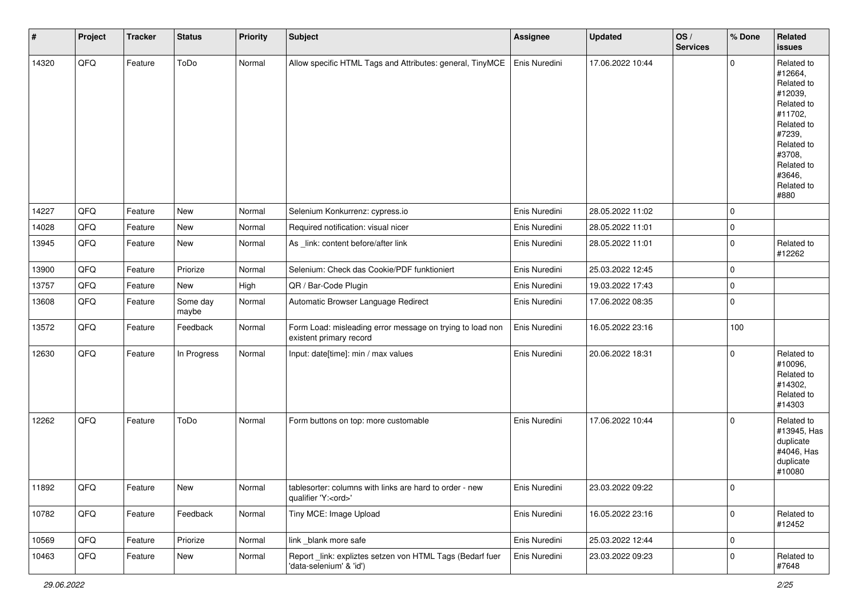| $\vert$ # | Project | <b>Tracker</b> | <b>Status</b>     | <b>Priority</b> | <b>Subject</b>                                                                        | <b>Assignee</b> | <b>Updated</b>   | OS/<br><b>Services</b> | % Done      | Related<br><b>issues</b>                                                                                                                                              |
|-----------|---------|----------------|-------------------|-----------------|---------------------------------------------------------------------------------------|-----------------|------------------|------------------------|-------------|-----------------------------------------------------------------------------------------------------------------------------------------------------------------------|
| 14320     | QFQ     | Feature        | ToDo              | Normal          | Allow specific HTML Tags and Attributes: general, TinyMCE                             | Enis Nuredini   | 17.06.2022 10:44 |                        | $\mathbf 0$ | Related to<br>#12664,<br>Related to<br>#12039,<br>Related to<br>#11702,<br>Related to<br>#7239,<br>Related to<br>#3708,<br>Related to<br>#3646,<br>Related to<br>#880 |
| 14227     | QFQ     | Feature        | New               | Normal          | Selenium Konkurrenz: cypress.io                                                       | Enis Nuredini   | 28.05.2022 11:02 |                        | $\mathbf 0$ |                                                                                                                                                                       |
| 14028     | QFQ     | Feature        | New               | Normal          | Required notification: visual nicer                                                   | Enis Nuredini   | 28.05.2022 11:01 |                        | $\mathbf 0$ |                                                                                                                                                                       |
| 13945     | QFQ     | Feature        | New               | Normal          | As _link: content before/after link                                                   | Enis Nuredini   | 28.05.2022 11:01 |                        | $\mathbf 0$ | Related to<br>#12262                                                                                                                                                  |
| 13900     | QFQ     | Feature        | Priorize          | Normal          | Selenium: Check das Cookie/PDF funktioniert                                           | Enis Nuredini   | 25.03.2022 12:45 |                        | $\mathbf 0$ |                                                                                                                                                                       |
| 13757     | QFQ     | Feature        | New               | High            | QR / Bar-Code Plugin                                                                  | Enis Nuredini   | 19.03.2022 17:43 |                        | $\mathbf 0$ |                                                                                                                                                                       |
| 13608     | QFQ     | Feature        | Some day<br>maybe | Normal          | Automatic Browser Language Redirect                                                   | Enis Nuredini   | 17.06.2022 08:35 |                        | $\mathbf 0$ |                                                                                                                                                                       |
| 13572     | QFQ     | Feature        | Feedback          | Normal          | Form Load: misleading error message on trying to load non<br>existent primary record  | Enis Nuredini   | 16.05.2022 23:16 |                        | 100         |                                                                                                                                                                       |
| 12630     | QFQ     | Feature        | In Progress       | Normal          | Input: date[time]: min / max values                                                   | Enis Nuredini   | 20.06.2022 18:31 |                        | $\mathbf 0$ | Related to<br>#10096,<br>Related to<br>#14302,<br>Related to<br>#14303                                                                                                |
| 12262     | QFQ     | Feature        | ToDo              | Normal          | Form buttons on top: more customable                                                  | Enis Nuredini   | 17.06.2022 10:44 |                        | $\mathbf 0$ | Related to<br>#13945, Has<br>duplicate<br>#4046, Has<br>duplicate<br>#10080                                                                                           |
| 11892     | QFQ     | Feature        | New               | Normal          | tablesorter: columns with links are hard to order - new<br>qualifier 'Y: <ord>'</ord> | Enis Nuredini   | 23.03.2022 09:22 |                        | O           |                                                                                                                                                                       |
| 10782     | QFQ     | Feature        | Feedback          | Normal          | Tiny MCE: Image Upload                                                                | Enis Nuredini   | 16.05.2022 23:16 |                        | $\mathbf 0$ | Related to<br>#12452                                                                                                                                                  |
| 10569     | QFQ     | Feature        | Priorize          | Normal          | link _blank more safe                                                                 | Enis Nuredini   | 25.03.2022 12:44 |                        | $\mathbf 0$ |                                                                                                                                                                       |
| 10463     | QFQ     | Feature        | New               | Normal          | Report _link: expliztes setzen von HTML Tags (Bedarf fuer<br>'data-selenium' & 'id')  | Enis Nuredini   | 23.03.2022 09:23 |                        | $\mathsf 0$ | Related to<br>#7648                                                                                                                                                   |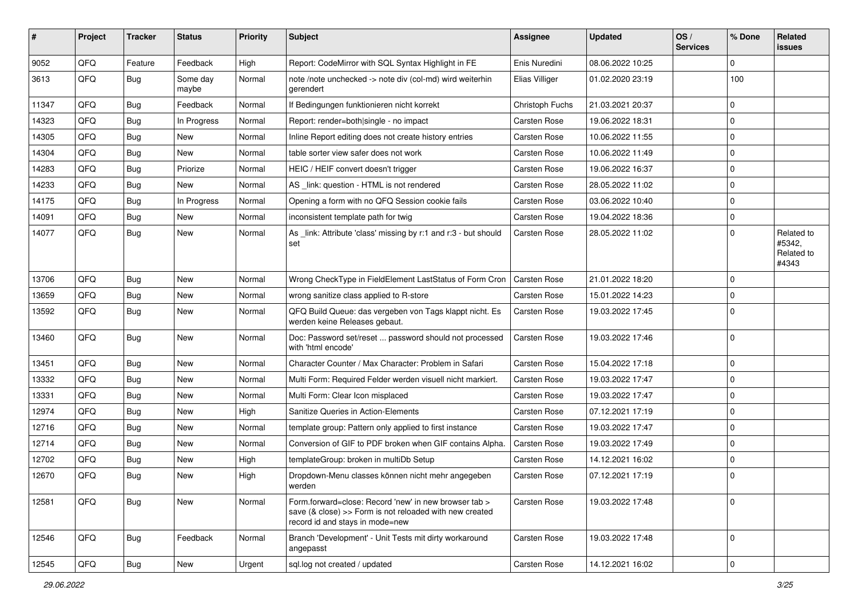| #     | Project | <b>Tracker</b> | <b>Status</b>     | <b>Priority</b> | <b>Subject</b>                                                                                                                                      | <b>Assignee</b>     | <b>Updated</b>   | OS/<br><b>Services</b> | % Done      | Related<br>issues                           |
|-------|---------|----------------|-------------------|-----------------|-----------------------------------------------------------------------------------------------------------------------------------------------------|---------------------|------------------|------------------------|-------------|---------------------------------------------|
| 9052  | QFQ     | Feature        | Feedback          | High            | Report: CodeMirror with SQL Syntax Highlight in FE                                                                                                  | Enis Nuredini       | 08.06.2022 10:25 |                        | $\Omega$    |                                             |
| 3613  | QFQ     | <b>Bug</b>     | Some day<br>maybe | Normal          | note /note unchecked -> note div (col-md) wird weiterhin<br>gerendert                                                                               | Elias Villiger      | 01.02.2020 23:19 |                        | 100         |                                             |
| 11347 | QFQ     | Bug            | Feedback          | Normal          | If Bedingungen funktionieren nicht korrekt                                                                                                          | Christoph Fuchs     | 21.03.2021 20:37 |                        | $\Omega$    |                                             |
| 14323 | QFQ     | Bug            | In Progress       | Normal          | Report: render=both single - no impact                                                                                                              | Carsten Rose        | 19.06.2022 18:31 |                        | $\Omega$    |                                             |
| 14305 | QFQ     | Bug            | New               | Normal          | Inline Report editing does not create history entries                                                                                               | Carsten Rose        | 10.06.2022 11:55 |                        | $\Omega$    |                                             |
| 14304 | QFQ     | Bug            | New               | Normal          | table sorter view safer does not work                                                                                                               | Carsten Rose        | 10.06.2022 11:49 |                        | 0           |                                             |
| 14283 | QFQ     | Bug            | Priorize          | Normal          | HEIC / HEIF convert doesn't trigger                                                                                                                 | Carsten Rose        | 19.06.2022 16:37 |                        | $\Omega$    |                                             |
| 14233 | QFQ     | Bug            | New               | Normal          | AS _link: question - HTML is not rendered                                                                                                           | <b>Carsten Rose</b> | 28.05.2022 11:02 |                        | $\mathbf 0$ |                                             |
| 14175 | QFQ     | Bug            | In Progress       | Normal          | Opening a form with no QFQ Session cookie fails                                                                                                     | Carsten Rose        | 03.06.2022 10:40 |                        | $\Omega$    |                                             |
| 14091 | QFQ     | Bug            | New               | Normal          | inconsistent template path for twig                                                                                                                 | Carsten Rose        | 19.04.2022 18:36 |                        | $\mathbf 0$ |                                             |
| 14077 | QFQ     | Bug            | New               | Normal          | As link: Attribute 'class' missing by r:1 and r:3 - but should<br>set                                                                               | Carsten Rose        | 28.05.2022 11:02 |                        | $\Omega$    | Related to<br>#5342,<br>Related to<br>#4343 |
| 13706 | QFQ     | Bug            | New               | Normal          | Wrong CheckType in FieldElement LastStatus of Form Cron                                                                                             | <b>Carsten Rose</b> | 21.01.2022 18:20 |                        | $\Omega$    |                                             |
| 13659 | QFQ     | Bug            | New               | Normal          | wrong sanitize class applied to R-store                                                                                                             | Carsten Rose        | 15.01.2022 14:23 |                        | $\mathbf 0$ |                                             |
| 13592 | QFQ     | Bug            | New               | Normal          | QFQ Build Queue: das vergeben von Tags klappt nicht. Es<br>werden keine Releases gebaut.                                                            | Carsten Rose        | 19.03.2022 17:45 |                        | $\Omega$    |                                             |
| 13460 | QFQ     | Bug            | New               | Normal          | Doc: Password set/reset  password should not processed<br>with 'html encode'                                                                        | Carsten Rose        | 19.03.2022 17:46 |                        | $\Omega$    |                                             |
| 13451 | QFQ     | <b>Bug</b>     | New               | Normal          | Character Counter / Max Character: Problem in Safari                                                                                                | Carsten Rose        | 15.04.2022 17:18 |                        | $\mathbf 0$ |                                             |
| 13332 | QFQ     | <b>Bug</b>     | New               | Normal          | Multi Form: Required Felder werden visuell nicht markiert.                                                                                          | Carsten Rose        | 19.03.2022 17:47 |                        | $\mathbf 0$ |                                             |
| 13331 | QFQ     | Bug            | New               | Normal          | Multi Form: Clear Icon misplaced                                                                                                                    | Carsten Rose        | 19.03.2022 17:47 |                        | $\Omega$    |                                             |
| 12974 | QFQ     | Bug            | New               | High            | Sanitize Queries in Action-Elements                                                                                                                 | Carsten Rose        | 07.12.2021 17:19 |                        | $\mathbf 0$ |                                             |
| 12716 | QFQ     | Bug            | New               | Normal          | template group: Pattern only applied to first instance                                                                                              | Carsten Rose        | 19.03.2022 17:47 |                        | $\Omega$    |                                             |
| 12714 | QFQ     | Bug            | New               | Normal          | Conversion of GIF to PDF broken when GIF contains Alpha.                                                                                            | Carsten Rose        | 19.03.2022 17:49 |                        | $\Omega$    |                                             |
| 12702 | QFQ     | Bug            | New               | High            | templateGroup: broken in multiDb Setup                                                                                                              | Carsten Rose        | 14.12.2021 16:02 |                        | $\mathbf 0$ |                                             |
| 12670 | QFQ     | Bug            | New               | High            | Dropdown-Menu classes können nicht mehr angegeben<br>werden                                                                                         | Carsten Rose        | 07.12.2021 17:19 |                        | 0           |                                             |
| 12581 | QFQ     | Bug            | New               | Normal          | Form.forward=close: Record 'new' in new browser tab ><br>save (& close) >> Form is not reloaded with new created<br>record id and stays in mode=new | Carsten Rose        | 19.03.2022 17:48 |                        | $\mathbf 0$ |                                             |
| 12546 | QFQ     | Bug            | Feedback          | Normal          | Branch 'Development' - Unit Tests mit dirty workaround<br>angepasst                                                                                 | Carsten Rose        | 19.03.2022 17:48 |                        | $\mathbf 0$ |                                             |
| 12545 | QFQ     | Bug            | New               | Urgent          | sql.log not created / updated                                                                                                                       | Carsten Rose        | 14.12.2021 16:02 |                        | $\mathbf 0$ |                                             |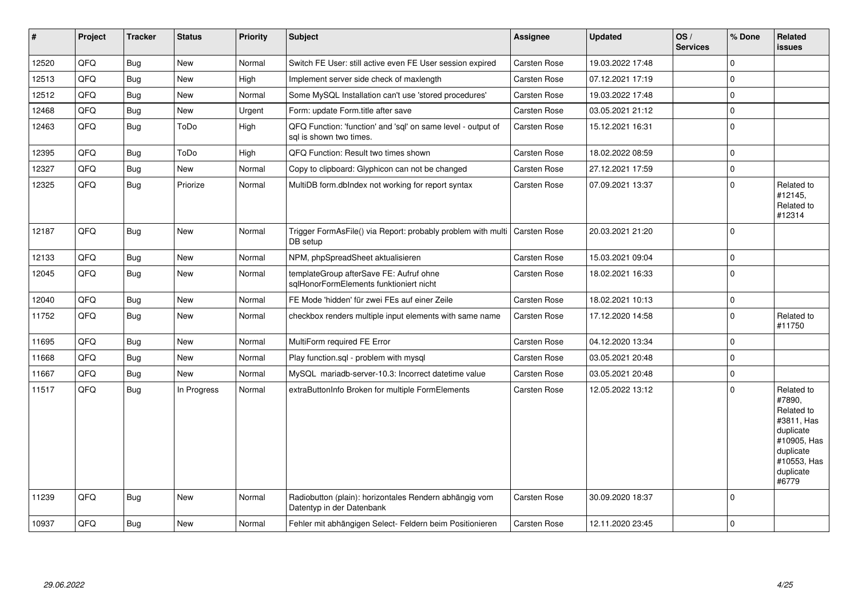| #     | Project | <b>Tracker</b> | <b>Status</b> | <b>Priority</b> | <b>Subject</b>                                                                          | <b>Assignee</b>     | <b>Updated</b>   | OS/<br><b>Services</b> | % Done      | Related<br><b>issues</b>                                                                                                       |
|-------|---------|----------------|---------------|-----------------|-----------------------------------------------------------------------------------------|---------------------|------------------|------------------------|-------------|--------------------------------------------------------------------------------------------------------------------------------|
| 12520 | QFQ     | <b>Bug</b>     | <b>New</b>    | Normal          | Switch FE User: still active even FE User session expired                               | Carsten Rose        | 19.03.2022 17:48 |                        | $\mathbf 0$ |                                                                                                                                |
| 12513 | QFQ     | <b>Bug</b>     | <b>New</b>    | High            | Implement server side check of maxlength                                                | Carsten Rose        | 07.12.2021 17:19 |                        | $\mathbf 0$ |                                                                                                                                |
| 12512 | QFQ     | <b>Bug</b>     | New           | Normal          | Some MySQL Installation can't use 'stored procedures'                                   | Carsten Rose        | 19.03.2022 17:48 |                        | $\mathbf 0$ |                                                                                                                                |
| 12468 | QFQ     | <b>Bug</b>     | New           | Urgent          | Form: update Form.title after save                                                      | Carsten Rose        | 03.05.2021 21:12 |                        | $\pmb{0}$   |                                                                                                                                |
| 12463 | QFQ     | <b>Bug</b>     | ToDo          | High            | QFQ Function: 'function' and 'sql' on same level - output of<br>sql is shown two times. | Carsten Rose        | 15.12.2021 16:31 |                        | $\mathbf 0$ |                                                                                                                                |
| 12395 | QFQ     | <b>Bug</b>     | ToDo          | High            | QFQ Function: Result two times shown                                                    | Carsten Rose        | 18.02.2022 08:59 |                        | $\mathbf 0$ |                                                                                                                                |
| 12327 | QFQ     | <b>Bug</b>     | New           | Normal          | Copy to clipboard: Glyphicon can not be changed                                         | Carsten Rose        | 27.12.2021 17:59 |                        | $\mathbf 0$ |                                                                                                                                |
| 12325 | QFQ     | <b>Bug</b>     | Priorize      | Normal          | MultiDB form.dbIndex not working for report syntax                                      | Carsten Rose        | 07.09.2021 13:37 |                        | $\mathbf 0$ | Related to<br>#12145,<br>Related to<br>#12314                                                                                  |
| 12187 | QFQ     | <b>Bug</b>     | New           | Normal          | Trigger FormAsFile() via Report: probably problem with multi<br>DB setup                | <b>Carsten Rose</b> | 20.03.2021 21:20 |                        | $\mathbf 0$ |                                                                                                                                |
| 12133 | QFQ     | <b>Bug</b>     | New           | Normal          | NPM, phpSpreadSheet aktualisieren                                                       | Carsten Rose        | 15.03.2021 09:04 |                        | $\mathbf 0$ |                                                                                                                                |
| 12045 | QFQ     | <b>Bug</b>     | New           | Normal          | templateGroup afterSave FE: Aufruf ohne<br>sqlHonorFormElements funktioniert nicht      | Carsten Rose        | 18.02.2021 16:33 |                        | $\mathbf 0$ |                                                                                                                                |
| 12040 | QFQ     | <b>Bug</b>     | <b>New</b>    | Normal          | FE Mode 'hidden' für zwei FEs auf einer Zeile                                           | Carsten Rose        | 18.02.2021 10:13 |                        | $\mathbf 0$ |                                                                                                                                |
| 11752 | QFQ     | Bug            | <b>New</b>    | Normal          | checkbox renders multiple input elements with same name                                 | Carsten Rose        | 17.12.2020 14:58 |                        | $\mathbf 0$ | Related to<br>#11750                                                                                                           |
| 11695 | QFQ     | <b>Bug</b>     | New           | Normal          | MultiForm required FE Error                                                             | Carsten Rose        | 04.12.2020 13:34 |                        | $\pmb{0}$   |                                                                                                                                |
| 11668 | QFQ     | <b>Bug</b>     | New           | Normal          | Play function.sql - problem with mysql                                                  | Carsten Rose        | 03.05.2021 20:48 |                        | $\mathbf 0$ |                                                                                                                                |
| 11667 | QFQ     | <b>Bug</b>     | New           | Normal          | MySQL mariadb-server-10.3: Incorrect datetime value                                     | Carsten Rose        | 03.05.2021 20:48 |                        | $\mathbf 0$ |                                                                                                                                |
| 11517 | QFQ     | Bug            | In Progress   | Normal          | extraButtonInfo Broken for multiple FormElements                                        | Carsten Rose        | 12.05.2022 13:12 |                        | $\mathbf 0$ | Related to<br>#7890.<br>Related to<br>#3811, Has<br>duplicate<br>#10905, Has<br>duplicate<br>#10553, Has<br>duplicate<br>#6779 |
| 11239 | QFQ     | <b>Bug</b>     | New           | Normal          | Radiobutton (plain): horizontales Rendern abhängig vom<br>Datentyp in der Datenbank     | Carsten Rose        | 30.09.2020 18:37 |                        | $\mathbf 0$ |                                                                                                                                |
| 10937 | QFQ     | <b>Bug</b>     | New           | Normal          | Fehler mit abhängigen Select- Feldern beim Positionieren                                | Carsten Rose        | 12.11.2020 23:45 |                        | $\mathbf 0$ |                                                                                                                                |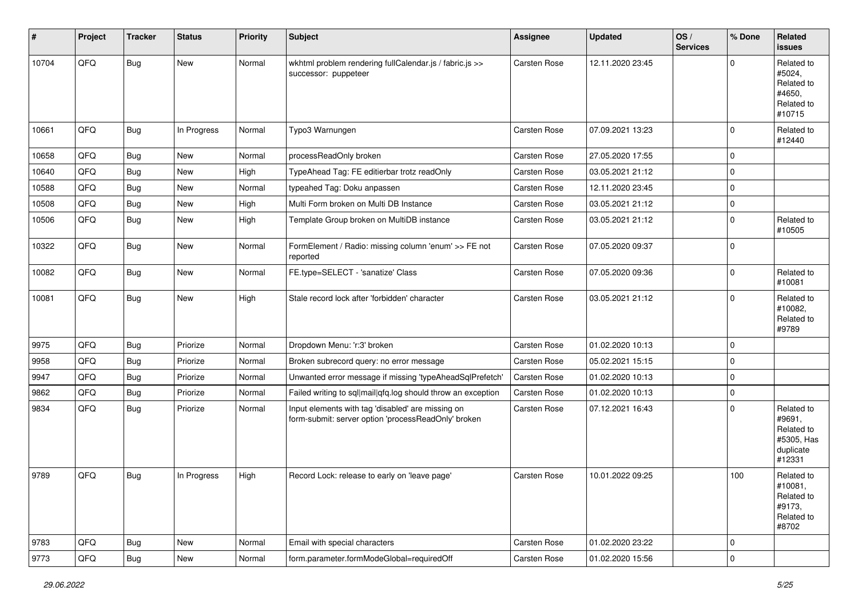| #     | Project | <b>Tracker</b> | <b>Status</b> | <b>Priority</b> | <b>Subject</b>                                                                                           | <b>Assignee</b>     | <b>Updated</b>   | OS/<br><b>Services</b> | % Done      | Related<br>issues                                                       |
|-------|---------|----------------|---------------|-----------------|----------------------------------------------------------------------------------------------------------|---------------------|------------------|------------------------|-------------|-------------------------------------------------------------------------|
| 10704 | QFQ     | <b>Bug</b>     | New           | Normal          | wkhtml problem rendering fullCalendar.js / fabric.js >><br>successor: puppeteer                          | <b>Carsten Rose</b> | 12.11.2020 23:45 |                        | $\Omega$    | Related to<br>#5024,<br>Related to<br>#4650.<br>Related to<br>#10715    |
| 10661 | QFQ     | Bug            | In Progress   | Normal          | Typo3 Warnungen                                                                                          | Carsten Rose        | 07.09.2021 13:23 |                        | $\Omega$    | Related to<br>#12440                                                    |
| 10658 | QFQ     | <b>Bug</b>     | New           | Normal          | processReadOnly broken                                                                                   | Carsten Rose        | 27.05.2020 17:55 |                        | $\Omega$    |                                                                         |
| 10640 | QFQ     | <b>Bug</b>     | New           | High            | TypeAhead Tag: FE editierbar trotz readOnly                                                              | <b>Carsten Rose</b> | 03.05.2021 21:12 |                        | $\Omega$    |                                                                         |
| 10588 | QFQ     | <b>Bug</b>     | New           | Normal          | typeahed Tag: Doku anpassen                                                                              | Carsten Rose        | 12.11.2020 23:45 |                        | $\Omega$    |                                                                         |
| 10508 | QFQ     | <b>Bug</b>     | New           | High            | Multi Form broken on Multi DB Instance                                                                   | Carsten Rose        | 03.05.2021 21:12 |                        | $\Omega$    |                                                                         |
| 10506 | QFQ     | <b>Bug</b>     | New           | High            | Template Group broken on MultiDB instance                                                                | Carsten Rose        | 03.05.2021 21:12 |                        | $\Omega$    | Related to<br>#10505                                                    |
| 10322 | QFQ     | <b>Bug</b>     | New           | Normal          | FormElement / Radio: missing column 'enum' >> FE not<br>reported                                         | <b>Carsten Rose</b> | 07.05.2020 09:37 |                        | $\Omega$    |                                                                         |
| 10082 | QFQ     | Bug            | New           | Normal          | FE.type=SELECT - 'sanatize' Class                                                                        | Carsten Rose        | 07.05.2020 09:36 |                        | $\Omega$    | Related to<br>#10081                                                    |
| 10081 | QFQ     | <b>Bug</b>     | New           | High            | Stale record lock after 'forbidden' character                                                            | <b>Carsten Rose</b> | 03.05.2021 21:12 |                        | $\Omega$    | Related to<br>#10082,<br>Related to<br>#9789                            |
| 9975  | QFQ     | Bug            | Priorize      | Normal          | Dropdown Menu: 'r:3' broken                                                                              | Carsten Rose        | 01.02.2020 10:13 |                        | $\Omega$    |                                                                         |
| 9958  | QFQ     | <b>Bug</b>     | Priorize      | Normal          | Broken subrecord query: no error message                                                                 | Carsten Rose        | 05.02.2021 15:15 |                        | $\mathbf 0$ |                                                                         |
| 9947  | QFQ     | <b>Bug</b>     | Priorize      | Normal          | Unwanted error message if missing 'typeAheadSqlPrefetch'                                                 | Carsten Rose        | 01.02.2020 10:13 |                        | $\Omega$    |                                                                         |
| 9862  | QFQ     | <b>Bug</b>     | Priorize      | Normal          | Failed writing to sql mail qfq.log should throw an exception                                             | Carsten Rose        | 01.02.2020 10:13 |                        | $\mathbf 0$ |                                                                         |
| 9834  | QFQ     | <b>Bug</b>     | Priorize      | Normal          | Input elements with tag 'disabled' are missing on<br>form-submit: server option 'processReadOnly' broken | Carsten Rose        | 07.12.2021 16:43 |                        | $\Omega$    | Related to<br>#9691,<br>Related to<br>#5305, Has<br>duplicate<br>#12331 |
| 9789  | QFQ     | <b>Bug</b>     | In Progress   | High            | Record Lock: release to early on 'leave page'                                                            | <b>Carsten Rose</b> | 10.01.2022 09:25 |                        | 100         | Related to<br>#10081,<br>Related to<br>#9173,<br>Related to<br>#8702    |
| 9783  | QFQ     | Bug            | New           | Normal          | Email with special characters                                                                            | Carsten Rose        | 01.02.2020 23:22 |                        | $\mathbf 0$ |                                                                         |
| 9773  | QFQ     | Bug            | New           | Normal          | form.parameter.formModeGlobal=requiredOff                                                                | Carsten Rose        | 01.02.2020 15:56 |                        | $\mathbf 0$ |                                                                         |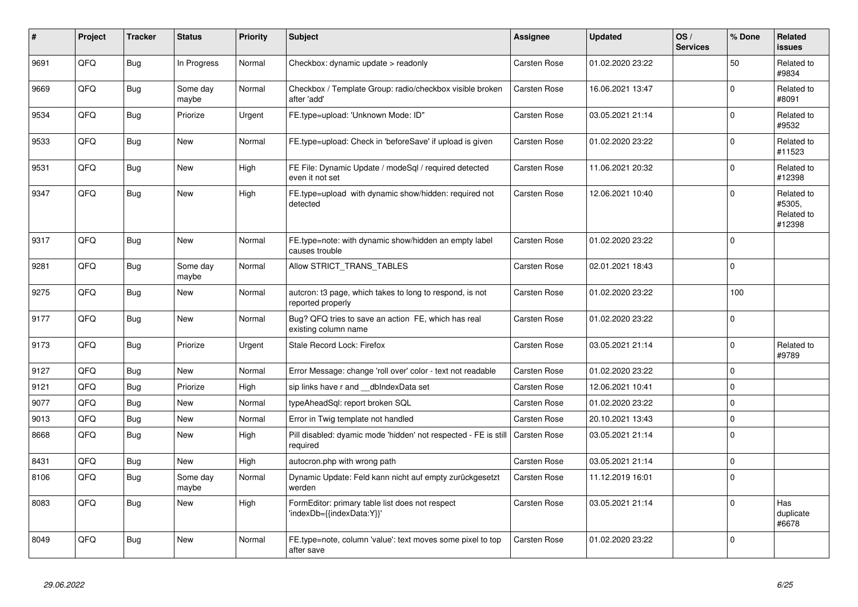| #    | Project | <b>Tracker</b> | <b>Status</b>     | <b>Priority</b> | <b>Subject</b>                                                                | <b>Assignee</b>     | <b>Updated</b>   | OS/<br><b>Services</b> | % Done   | Related<br><b>issues</b>                     |
|------|---------|----------------|-------------------|-----------------|-------------------------------------------------------------------------------|---------------------|------------------|------------------------|----------|----------------------------------------------|
| 9691 | QFQ     | <b>Bug</b>     | In Progress       | Normal          | Checkbox: dynamic update > readonly                                           | Carsten Rose        | 01.02.2020 23:22 |                        | 50       | Related to<br>#9834                          |
| 9669 | QFQ     | Bug            | Some day<br>maybe | Normal          | Checkbox / Template Group: radio/checkbox visible broken<br>after 'add'       | Carsten Rose        | 16.06.2021 13:47 |                        | $\Omega$ | Related to<br>#8091                          |
| 9534 | QFQ     | Bug            | Priorize          | Urgent          | FE.type=upload: 'Unknown Mode: ID"                                            | Carsten Rose        | 03.05.2021 21:14 |                        | $\Omega$ | Related to<br>#9532                          |
| 9533 | QFQ     | Bug            | New               | Normal          | FE.type=upload: Check in 'beforeSave' if upload is given                      | Carsten Rose        | 01.02.2020 23:22 |                        | $\Omega$ | Related to<br>#11523                         |
| 9531 | QFQ     | <b>Bug</b>     | <b>New</b>        | High            | FE File: Dynamic Update / modeSql / required detected<br>even it not set      | Carsten Rose        | 11.06.2021 20:32 |                        | $\Omega$ | Related to<br>#12398                         |
| 9347 | QFQ     | Bug            | New               | High            | FE.type=upload with dynamic show/hidden: required not<br>detected             | Carsten Rose        | 12.06.2021 10:40 |                        | $\Omega$ | Related to<br>#5305.<br>Related to<br>#12398 |
| 9317 | QFQ     | Bug            | New               | Normal          | FE.type=note: with dynamic show/hidden an empty label<br>causes trouble       | <b>Carsten Rose</b> | 01.02.2020 23:22 |                        | $\Omega$ |                                              |
| 9281 | QFQ     | <b>Bug</b>     | Some day<br>maybe | Normal          | Allow STRICT_TRANS_TABLES                                                     | Carsten Rose        | 02.01.2021 18:43 |                        | $\Omega$ |                                              |
| 9275 | QFQ     | <b>Bug</b>     | New               | Normal          | auteron: t3 page, which takes to long to respond, is not<br>reported properly | Carsten Rose        | 01.02.2020 23:22 |                        | 100      |                                              |
| 9177 | QFQ     | Bug            | New               | Normal          | Bug? QFQ tries to save an action FE, which has real<br>existing column name   | Carsten Rose        | 01.02.2020 23:22 |                        | $\Omega$ |                                              |
| 9173 | QFQ     | Bug            | Priorize          | Urgent          | Stale Record Lock: Firefox                                                    | Carsten Rose        | 03.05.2021 21:14 |                        | $\Omega$ | Related to<br>#9789                          |
| 9127 | QFQ     | <b>Bug</b>     | <b>New</b>        | Normal          | Error Message: change 'roll over' color - text not readable                   | Carsten Rose        | 01.02.2020 23:22 |                        | $\Omega$ |                                              |
| 9121 | QFQ     | Bug            | Priorize          | High            | sip links have r and __dbIndexData set                                        | Carsten Rose        | 12.06.2021 10:41 |                        | $\Omega$ |                                              |
| 9077 | QFQ     | Bug            | <b>New</b>        | Normal          | typeAheadSql: report broken SQL                                               | Carsten Rose        | 01.02.2020 23:22 |                        | $\Omega$ |                                              |
| 9013 | QFQ     | <b>Bug</b>     | New               | Normal          | Error in Twig template not handled                                            | Carsten Rose        | 20.10.2021 13:43 |                        | $\Omega$ |                                              |
| 8668 | QFQ     | <b>Bug</b>     | New               | High            | Pill disabled: dyamic mode 'hidden' not respected - FE is still<br>required   | Carsten Rose        | 03.05.2021 21:14 |                        | $\Omega$ |                                              |
| 8431 | QFQ     | <b>Bug</b>     | New               | High            | autocron.php with wrong path                                                  | Carsten Rose        | 03.05.2021 21:14 |                        | $\Omega$ |                                              |
| 8106 | QFQ     | <b>Bug</b>     | Some day<br>maybe | Normal          | Dynamic Update: Feld kann nicht auf empty zurückgesetzt<br>werden             | Carsten Rose        | 11.12.2019 16:01 |                        | $\Omega$ |                                              |
| 8083 | QFQ     | Bug            | <b>New</b>        | High            | FormEditor: primary table list does not respect<br>'indexDb={{indexData:Y}}'  | Carsten Rose        | 03.05.2021 21:14 |                        | $\Omega$ | Has<br>duplicate<br>#6678                    |
| 8049 | QFQ     | Bug            | New               | Normal          | FE.type=note, column 'value': text moves some pixel to top<br>after save      | Carsten Rose        | 01.02.2020 23:22 |                        | $\Omega$ |                                              |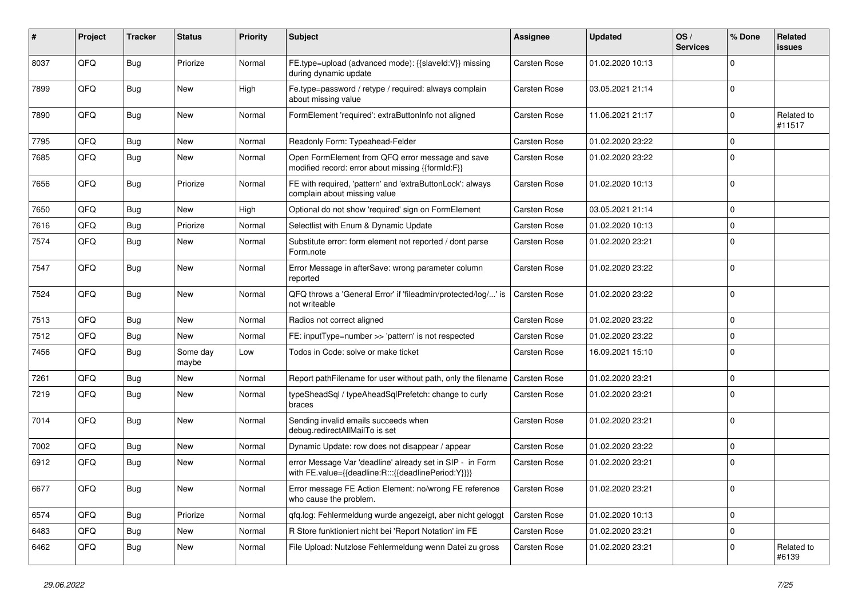| #    | Project | <b>Tracker</b> | <b>Status</b>     | <b>Priority</b> | <b>Subject</b>                                                                                                   | <b>Assignee</b> | <b>Updated</b>   | OS/<br><b>Services</b> | % Done      | Related<br><b>issues</b> |
|------|---------|----------------|-------------------|-----------------|------------------------------------------------------------------------------------------------------------------|-----------------|------------------|------------------------|-------------|--------------------------|
| 8037 | QFQ     | <b>Bug</b>     | Priorize          | Normal          | FE.type=upload (advanced mode): {{slaveId:V}} missing<br>during dynamic update                                   | Carsten Rose    | 01.02.2020 10:13 |                        | $\mathbf 0$ |                          |
| 7899 | QFQ     | <b>Bug</b>     | New               | High            | Fe.type=password / retype / required: always complain<br>about missing value                                     | Carsten Rose    | 03.05.2021 21:14 |                        | $\mathbf 0$ |                          |
| 7890 | QFQ     | Bug            | New               | Normal          | FormElement 'required': extraButtonInfo not aligned                                                              | Carsten Rose    | 11.06.2021 21:17 |                        | $\Omega$    | Related to<br>#11517     |
| 7795 | QFQ     | <b>Bug</b>     | <b>New</b>        | Normal          | Readonly Form: Typeahead-Felder                                                                                  | Carsten Rose    | 01.02.2020 23:22 |                        | $\mathbf 0$ |                          |
| 7685 | QFQ     | <b>Bug</b>     | New               | Normal          | Open FormElement from QFQ error message and save<br>modified record: error about missing {{formId:F}}            | Carsten Rose    | 01.02.2020 23:22 |                        | $\Omega$    |                          |
| 7656 | QFQ     | Bug            | Priorize          | Normal          | FE with required, 'pattern' and 'extraButtonLock': always<br>complain about missing value                        | Carsten Rose    | 01.02.2020 10:13 |                        | $\mathbf 0$ |                          |
| 7650 | QFQ     | Bug            | <b>New</b>        | High            | Optional do not show 'required' sign on FormElement                                                              | Carsten Rose    | 03.05.2021 21:14 |                        | $\mathbf 0$ |                          |
| 7616 | QFQ     | <b>Bug</b>     | Priorize          | Normal          | Selectlist with Enum & Dynamic Update                                                                            | Carsten Rose    | 01.02.2020 10:13 |                        | $\mathbf 0$ |                          |
| 7574 | QFQ     | Bug            | New               | Normal          | Substitute error: form element not reported / dont parse<br>Form.note                                            | Carsten Rose    | 01.02.2020 23:21 |                        | $\mathbf 0$ |                          |
| 7547 | QFQ     | <b>Bug</b>     | New               | Normal          | Error Message in afterSave: wrong parameter column<br>reported                                                   | Carsten Rose    | 01.02.2020 23:22 |                        | $\mathbf 0$ |                          |
| 7524 | QFQ     | <b>Bug</b>     | New               | Normal          | QFQ throws a 'General Error' if 'fileadmin/protected/log/' is<br>not writeable                                   | Carsten Rose    | 01.02.2020 23:22 |                        | $\mathbf 0$ |                          |
| 7513 | QFQ     | <b>Bug</b>     | New               | Normal          | Radios not correct aligned                                                                                       | Carsten Rose    | 01.02.2020 23:22 |                        | $\mathbf 0$ |                          |
| 7512 | QFQ     | <b>Bug</b>     | New               | Normal          | FE: inputType=number >> 'pattern' is not respected                                                               | Carsten Rose    | 01.02.2020 23:22 |                        | $\mathbf 0$ |                          |
| 7456 | QFQ     | <b>Bug</b>     | Some day<br>maybe | Low             | Todos in Code: solve or make ticket                                                                              | Carsten Rose    | 16.09.2021 15:10 |                        | $\mathbf 0$ |                          |
| 7261 | QFQ     | Bug            | New               | Normal          | Report pathFilename for user without path, only the filename                                                     | Carsten Rose    | 01.02.2020 23:21 |                        | $\mathbf 0$ |                          |
| 7219 | QFQ     | <b>Bug</b>     | New               | Normal          | typeSheadSql / typeAheadSqlPrefetch: change to curly<br>braces                                                   | Carsten Rose    | 01.02.2020 23:21 |                        | $\mathbf 0$ |                          |
| 7014 | QFQ     | Bug            | New               | Normal          | Sending invalid emails succeeds when<br>debug.redirectAllMailTo is set                                           | Carsten Rose    | 01.02.2020 23:21 |                        | $\mathbf 0$ |                          |
| 7002 | QFQ     | <b>Bug</b>     | New               | Normal          | Dynamic Update: row does not disappear / appear                                                                  | Carsten Rose    | 01.02.2020 23:22 |                        | $\mathbf 0$ |                          |
| 6912 | QFQ     | Bug            | New               | Normal          | error Message Var 'deadline' already set in SIP - in Form<br>with FE.value={{deadline:R:::{{deadlinePeriod:Y}}}} | Carsten Rose    | 01.02.2020 23:21 |                        | $\mathbf 0$ |                          |
| 6677 | QFQ     | <b>Bug</b>     | <b>New</b>        | Normal          | Error message FE Action Element: no/wrong FE reference<br>who cause the problem.                                 | Carsten Rose    | 01.02.2020 23:21 |                        | $\mathbf 0$ |                          |
| 6574 | QFQ     | Bug            | Priorize          | Normal          | gfg.log: Fehlermeldung wurde angezeigt, aber nicht geloggt                                                       | Carsten Rose    | 01.02.2020 10:13 |                        | $\mathbf 0$ |                          |
| 6483 | QFQ     | <b>Bug</b>     | New               | Normal          | R Store funktioniert nicht bei 'Report Notation' im FE                                                           | Carsten Rose    | 01.02.2020 23:21 |                        | $\mathbf 0$ |                          |
| 6462 | QFQ     | Bug            | New               | Normal          | File Upload: Nutzlose Fehlermeldung wenn Datei zu gross                                                          | Carsten Rose    | 01.02.2020 23:21 |                        | $\mathbf 0$ | Related to<br>#6139      |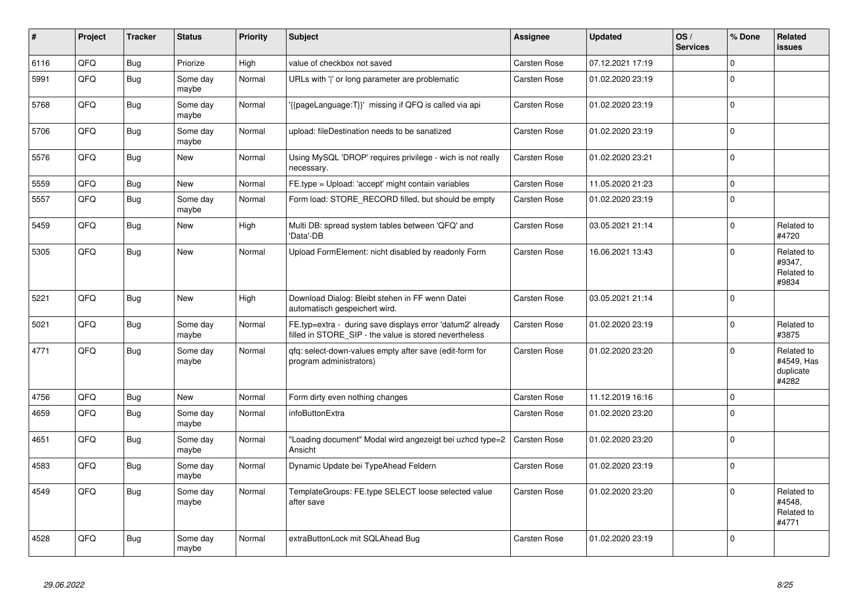| #    | Project | <b>Tracker</b> | <b>Status</b>     | <b>Priority</b> | <b>Subject</b>                                                                                                       | Assignee     | <b>Updated</b>   | OS/<br><b>Services</b> | % Done      | Related<br><b>issues</b>                       |
|------|---------|----------------|-------------------|-----------------|----------------------------------------------------------------------------------------------------------------------|--------------|------------------|------------------------|-------------|------------------------------------------------|
| 6116 | QFQ     | <b>Bug</b>     | Priorize          | High            | value of checkbox not saved                                                                                          | Carsten Rose | 07.12.2021 17:19 |                        | $\mathbf 0$ |                                                |
| 5991 | QFQ     | <b>Bug</b>     | Some day<br>maybe | Normal          | URLs with ' ' or long parameter are problematic                                                                      | Carsten Rose | 01.02.2020 23:19 |                        | $\Omega$    |                                                |
| 5768 | QFQ     | Bug            | Some day<br>maybe | Normal          | '{{pageLanguage:T}}' missing if QFQ is called via api                                                                | Carsten Rose | 01.02.2020 23:19 |                        | $\mathbf 0$ |                                                |
| 5706 | QFQ     | Bug            | Some day<br>maybe | Normal          | upload: fileDestination needs to be sanatized                                                                        | Carsten Rose | 01.02.2020 23:19 |                        | $\mathbf 0$ |                                                |
| 5576 | QFQ     | Bug            | <b>New</b>        | Normal          | Using MySQL 'DROP' requires privilege - wich is not really<br>necessary.                                             | Carsten Rose | 01.02.2020 23:21 |                        | $\mathbf 0$ |                                                |
| 5559 | QFQ     | Bug            | <b>New</b>        | Normal          | FE.type = Upload: 'accept' might contain variables                                                                   | Carsten Rose | 11.05.2020 21:23 |                        | $\mathbf 0$ |                                                |
| 5557 | QFQ     | Bug            | Some day<br>maybe | Normal          | Form load: STORE_RECORD filled, but should be empty                                                                  | Carsten Rose | 01.02.2020 23:19 |                        | $\mathbf 0$ |                                                |
| 5459 | QFQ     | <b>Bug</b>     | New               | High            | Multi DB: spread system tables between 'QFQ' and<br>'Data'-DB                                                        | Carsten Rose | 03.05.2021 21:14 |                        | $\Omega$    | Related to<br>#4720                            |
| 5305 | QFQ     | Bug            | <b>New</b>        | Normal          | Upload FormElement: nicht disabled by readonly Form                                                                  | Carsten Rose | 16.06.2021 13:43 |                        | $\Omega$    | Related to<br>#9347,<br>Related to<br>#9834    |
| 5221 | QFQ     | <b>Bug</b>     | <b>New</b>        | High            | Download Dialog: Bleibt stehen in FF wenn Datei<br>automatisch gespeichert wird.                                     | Carsten Rose | 03.05.2021 21:14 |                        | $\mathbf 0$ |                                                |
| 5021 | QFQ     | <b>Bug</b>     | Some day<br>maybe | Normal          | FE.typ=extra - during save displays error 'datum2' already<br>filled in STORE_SIP - the value is stored nevertheless | Carsten Rose | 01.02.2020 23:19 |                        | $\mathbf 0$ | Related to<br>#3875                            |
| 4771 | QFQ     | <b>Bug</b>     | Some day<br>maybe | Normal          | gfg: select-down-values empty after save (edit-form for<br>program administrators)                                   | Carsten Rose | 01.02.2020 23:20 |                        | $\Omega$    | Related to<br>#4549, Has<br>duplicate<br>#4282 |
| 4756 | QFQ     | <b>Bug</b>     | <b>New</b>        | Normal          | Form dirty even nothing changes                                                                                      | Carsten Rose | 11.12.2019 16:16 |                        | $\mathbf 0$ |                                                |
| 4659 | QFQ     | <b>Bug</b>     | Some day<br>maybe | Normal          | <i>infoButtonExtra</i>                                                                                               | Carsten Rose | 01.02.2020 23:20 |                        | $\mathbf 0$ |                                                |
| 4651 | QFQ     | <b>Bug</b>     | Some day<br>maybe | Normal          | "Loading document" Modal wird angezeigt bei uzhcd type=2<br>Ansicht                                                  | Carsten Rose | 01.02.2020 23:20 |                        | $\mathbf 0$ |                                                |
| 4583 | QFQ     | <b>Bug</b>     | Some day<br>maybe | Normal          | Dynamic Update bei TypeAhead Feldern                                                                                 | Carsten Rose | 01.02.2020 23:19 |                        | $\mathbf 0$ |                                                |
| 4549 | QFQ     | <b>Bug</b>     | Some day<br>maybe | Normal          | TemplateGroups: FE.type SELECT loose selected value<br>after save                                                    | Carsten Rose | 01.02.2020 23:20 |                        | $\mathbf 0$ | Related to<br>#4548.<br>Related to<br>#4771    |
| 4528 | QFQ     | <b>Bug</b>     | Some day<br>maybe | Normal          | extraButtonLock mit SQLAhead Bug                                                                                     | Carsten Rose | 01.02.2020 23:19 |                        | $\mathbf 0$ |                                                |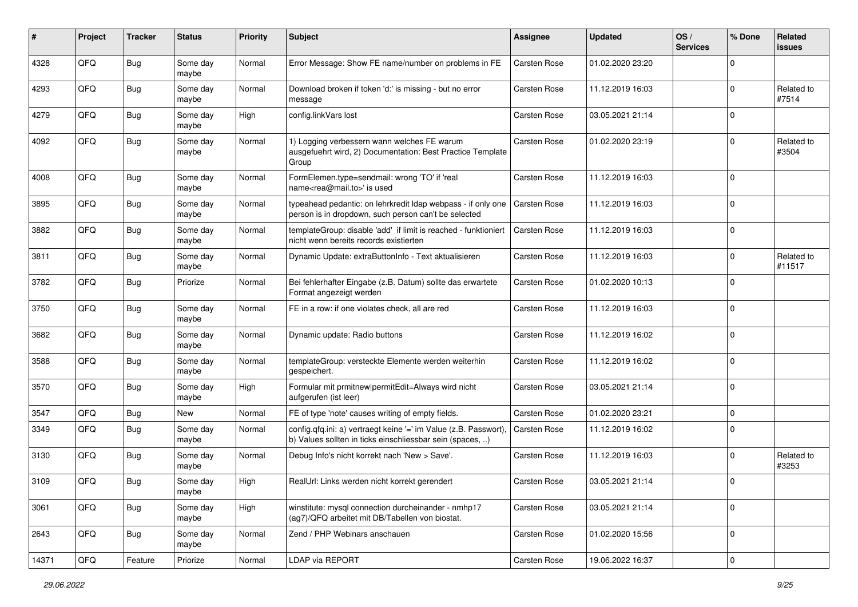| #     | Project | <b>Tracker</b> | <b>Status</b>     | <b>Priority</b> | <b>Subject</b>                                                                                                                | <b>Assignee</b>     | <b>Updated</b>   | OS/<br><b>Services</b> | % Done      | Related<br><b>issues</b> |
|-------|---------|----------------|-------------------|-----------------|-------------------------------------------------------------------------------------------------------------------------------|---------------------|------------------|------------------------|-------------|--------------------------|
| 4328  | QFQ     | <b>Bug</b>     | Some day<br>maybe | Normal          | Error Message: Show FE name/number on problems in FE                                                                          | Carsten Rose        | 01.02.2020 23:20 |                        | $\mathbf 0$ |                          |
| 4293  | QFQ     | Bug            | Some day<br>maybe | Normal          | Download broken if token 'd:' is missing - but no error<br>message                                                            | Carsten Rose        | 11.12.2019 16:03 |                        | $\mathbf 0$ | Related to<br>#7514      |
| 4279  | QFQ     | Bug            | Some day<br>maybe | High            | config.linkVars lost                                                                                                          | Carsten Rose        | 03.05.2021 21:14 |                        | $\mathbf 0$ |                          |
| 4092  | QFQ     | Bug            | Some day<br>maybe | Normal          | 1) Logging verbessern wann welches FE warum<br>ausgefuehrt wird, 2) Documentation: Best Practice Template<br>Group            | Carsten Rose        | 01.02.2020 23:19 |                        | $\pmb{0}$   | Related to<br>#3504      |
| 4008  | QFQ     | Bug            | Some day<br>maybe | Normal          | FormElemen.type=sendmail: wrong 'TO' if 'real<br>name <rea@mail.to>' is used</rea@mail.to>                                    | Carsten Rose        | 11.12.2019 16:03 |                        | $\pmb{0}$   |                          |
| 3895  | QFQ     | <b>Bug</b>     | Some day<br>maybe | Normal          | typeahead pedantic: on lehrkredit ldap webpass - if only one<br>person is in dropdown, such person can't be selected          | Carsten Rose        | 11.12.2019 16:03 |                        | $\mathbf 0$ |                          |
| 3882  | QFQ     | <b>Bug</b>     | Some day<br>maybe | Normal          | templateGroup: disable 'add' if limit is reached - funktioniert<br>nicht wenn bereits records existierten                     | Carsten Rose        | 11.12.2019 16:03 |                        | $\mathbf 0$ |                          |
| 3811  | QFQ     | <b>Bug</b>     | Some day<br>maybe | Normal          | Dynamic Update: extraButtonInfo - Text aktualisieren                                                                          | Carsten Rose        | 11.12.2019 16:03 |                        | $\mathbf 0$ | Related to<br>#11517     |
| 3782  | QFQ     | <b>Bug</b>     | Priorize          | Normal          | Bei fehlerhafter Eingabe (z.B. Datum) sollte das erwartete<br>Format angezeigt werden                                         | Carsten Rose        | 01.02.2020 10:13 |                        | $\mathbf 0$ |                          |
| 3750  | QFQ     | Bug            | Some day<br>maybe | Normal          | FE in a row: if one violates check, all are red                                                                               | Carsten Rose        | 11.12.2019 16:03 |                        | $\pmb{0}$   |                          |
| 3682  | QFQ     | <b>Bug</b>     | Some day<br>maybe | Normal          | Dynamic update: Radio buttons                                                                                                 | Carsten Rose        | 11.12.2019 16:02 |                        | $\mathbf 0$ |                          |
| 3588  | QFQ     | Bug            | Some day<br>maybe | Normal          | templateGroup: versteckte Elemente werden weiterhin<br>gespeichert.                                                           | Carsten Rose        | 11.12.2019 16:02 |                        | $\mathbf 0$ |                          |
| 3570  | QFQ     | <b>Bug</b>     | Some day<br>maybe | High            | Formular mit prmitnew permitEdit=Always wird nicht<br>aufgerufen (ist leer)                                                   | Carsten Rose        | 03.05.2021 21:14 |                        | $\mathbf 0$ |                          |
| 3547  | QFQ     | Bug            | New               | Normal          | FE of type 'note' causes writing of empty fields.                                                                             | Carsten Rose        | 01.02.2020 23:21 |                        | $\pmb{0}$   |                          |
| 3349  | QFQ     | <b>Bug</b>     | Some day<br>maybe | Normal          | config.qfq.ini: a) vertraegt keine '=' im Value (z.B. Passwort),<br>b) Values sollten in ticks einschliessbar sein (spaces, ) | Carsten Rose        | 11.12.2019 16:02 |                        | $\mathbf 0$ |                          |
| 3130  | QFQ     | Bug            | Some day<br>maybe | Normal          | Debug Info's nicht korrekt nach 'New > Save'.                                                                                 | Carsten Rose        | 11.12.2019 16:03 |                        | $\mathbf 0$ | Related to<br>#3253      |
| 3109  | QFQ     | Bug            | Some day<br>maybe | High            | RealUrl: Links werden nicht korrekt gerendert                                                                                 | <b>Carsten Rose</b> | 03.05.2021 21:14 |                        | $\mathbf 0$ |                          |
| 3061  | QFQ     | Bug            | Some day<br>maybe | High            | winstitute: mysql connection durcheinander - nmhp17<br>(ag7)/QFQ arbeitet mit DB/Tabellen von biostat.                        | Carsten Rose        | 03.05.2021 21:14 |                        | $\pmb{0}$   |                          |
| 2643  | QFQ     | <b>Bug</b>     | Some day<br>maybe | Normal          | Zend / PHP Webinars anschauen                                                                                                 | Carsten Rose        | 01.02.2020 15:56 |                        | $\pmb{0}$   |                          |
| 14371 | QFG     | Feature        | Priorize          | Normal          | LDAP via REPORT                                                                                                               | Carsten Rose        | 19.06.2022 16:37 |                        | $\pmb{0}$   |                          |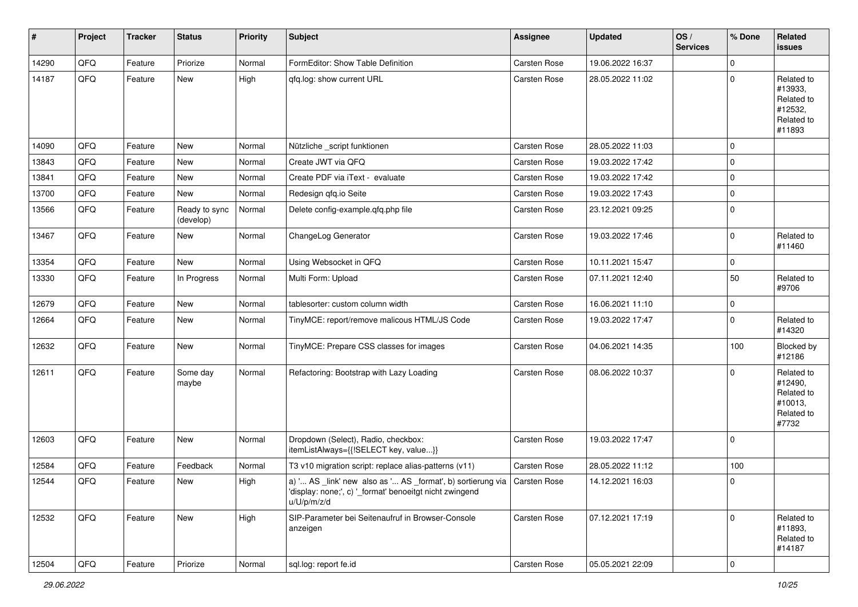| $\vert$ # | Project | <b>Tracker</b> | <b>Status</b>              | <b>Priority</b> | <b>Subject</b>                                                                                                                                     | Assignee     | <b>Updated</b>   | OS/<br><b>Services</b> | % Done      | Related<br><b>issues</b>                                               |
|-----------|---------|----------------|----------------------------|-----------------|----------------------------------------------------------------------------------------------------------------------------------------------------|--------------|------------------|------------------------|-------------|------------------------------------------------------------------------|
| 14290     | QFQ     | Feature        | Priorize                   | Normal          | FormEditor: Show Table Definition                                                                                                                  | Carsten Rose | 19.06.2022 16:37 |                        | $\mathbf 0$ |                                                                        |
| 14187     | QFQ     | Feature        | New                        | High            | gfg.log: show current URL                                                                                                                          | Carsten Rose | 28.05.2022 11:02 |                        | $\pmb{0}$   | Related to<br>#13933,<br>Related to<br>#12532,<br>Related to<br>#11893 |
| 14090     | QFQ     | Feature        | <b>New</b>                 | Normal          | Nützliche _script funktionen                                                                                                                       | Carsten Rose | 28.05.2022 11:03 |                        | $\mathbf 0$ |                                                                        |
| 13843     | QFQ     | Feature        | <b>New</b>                 | Normal          | Create JWT via QFQ                                                                                                                                 | Carsten Rose | 19.03.2022 17:42 |                        | $\pmb{0}$   |                                                                        |
| 13841     | QFQ     | Feature        | New                        | Normal          | Create PDF via iText - evaluate                                                                                                                    | Carsten Rose | 19.03.2022 17:42 |                        | $\pmb{0}$   |                                                                        |
| 13700     | QFQ     | Feature        | New                        | Normal          | Redesign qfq.io Seite                                                                                                                              | Carsten Rose | 19.03.2022 17:43 |                        | $\pmb{0}$   |                                                                        |
| 13566     | QFQ     | Feature        | Ready to sync<br>(develop) | Normal          | Delete config-example.qfq.php file                                                                                                                 | Carsten Rose | 23.12.2021 09:25 |                        | $\pmb{0}$   |                                                                        |
| 13467     | QFQ     | Feature        | New                        | Normal          | ChangeLog Generator                                                                                                                                | Carsten Rose | 19.03.2022 17:46 |                        | $\pmb{0}$   | Related to<br>#11460                                                   |
| 13354     | QFQ     | Feature        | New                        | Normal          | Using Websocket in QFQ                                                                                                                             | Carsten Rose | 10.11.2021 15:47 |                        | 0           |                                                                        |
| 13330     | QFQ     | Feature        | In Progress                | Normal          | Multi Form: Upload                                                                                                                                 | Carsten Rose | 07.11.2021 12:40 |                        | 50          | Related to<br>#9706                                                    |
| 12679     | QFQ     | Feature        | <b>New</b>                 | Normal          | tablesorter: custom column width                                                                                                                   | Carsten Rose | 16.06.2021 11:10 |                        | $\pmb{0}$   |                                                                        |
| 12664     | QFQ     | Feature        | New                        | Normal          | TinyMCE: report/remove malicous HTML/JS Code                                                                                                       | Carsten Rose | 19.03.2022 17:47 |                        | $\pmb{0}$   | Related to<br>#14320                                                   |
| 12632     | QFQ     | Feature        | New                        | Normal          | TinyMCE: Prepare CSS classes for images                                                                                                            | Carsten Rose | 04.06.2021 14:35 |                        | 100         | Blocked by<br>#12186                                                   |
| 12611     | QFQ     | Feature        | Some day<br>maybe          | Normal          | Refactoring: Bootstrap with Lazy Loading                                                                                                           | Carsten Rose | 08.06.2022 10:37 |                        | $\mathbf 0$ | Related to<br>#12490,<br>Related to<br>#10013,<br>Related to<br>#7732  |
| 12603     | QFQ     | Feature        | New                        | Normal          | Dropdown (Select), Radio, checkbox:<br>itemListAlways={{!SELECT key, value}}                                                                       | Carsten Rose | 19.03.2022 17:47 |                        | 0           |                                                                        |
| 12584     | QFQ     | Feature        | Feedback                   | Normal          | T3 v10 migration script: replace alias-patterns (v11)                                                                                              | Carsten Rose | 28.05.2022 11:12 |                        | 100         |                                                                        |
| 12544     | QFQ     | Feature        | New                        | High            | a) ' AS link' new also as ' AS format', b) sortierung via   Carsten Rose<br>'display: none;', c) '_format' benoeitgt nicht zwingend<br>u/U/p/m/z/d |              | 14.12.2021 16:03 |                        | $\mathbf 0$ |                                                                        |
| 12532     | QFQ     | Feature        | New                        | High            | SIP-Parameter bei Seitenaufruf in Browser-Console<br>anzeigen                                                                                      | Carsten Rose | 07.12.2021 17:19 |                        | $\mathbf 0$ | Related to<br>#11893,<br>Related to<br>#14187                          |
| 12504     | QFQ     | Feature        | Priorize                   | Normal          | sql.log: report fe.id                                                                                                                              | Carsten Rose | 05.05.2021 22:09 |                        | $\mathsf 0$ |                                                                        |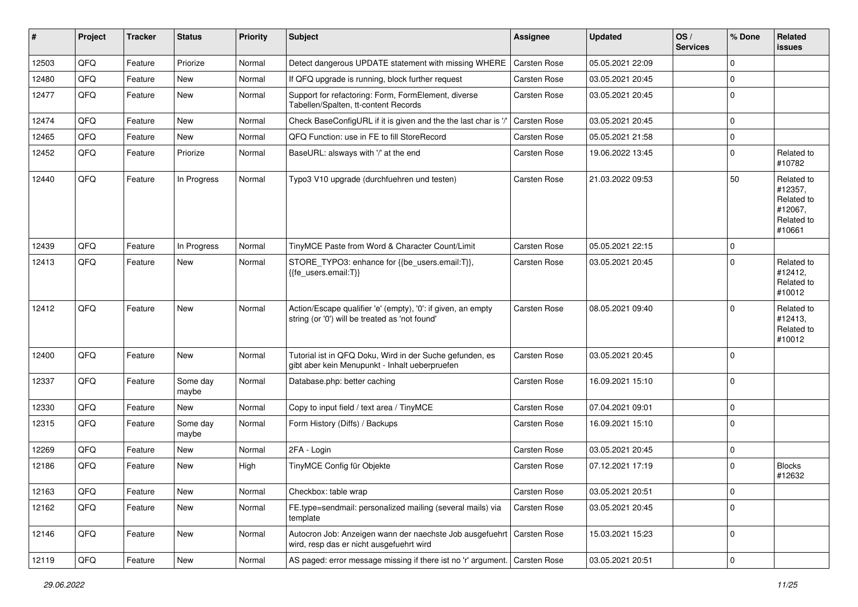| #     | Project | <b>Tracker</b> | <b>Status</b>     | <b>Priority</b> | <b>Subject</b>                                                                                                      | <b>Assignee</b>     | <b>Updated</b>   | OS/<br><b>Services</b> | % Done   | Related<br><b>issues</b>                                               |
|-------|---------|----------------|-------------------|-----------------|---------------------------------------------------------------------------------------------------------------------|---------------------|------------------|------------------------|----------|------------------------------------------------------------------------|
| 12503 | QFQ     | Feature        | Priorize          | Normal          | Detect dangerous UPDATE statement with missing WHERE                                                                | Carsten Rose        | 05.05.2021 22:09 |                        | $\Omega$ |                                                                        |
| 12480 | QFQ     | Feature        | New               | Normal          | If QFQ upgrade is running, block further request                                                                    | Carsten Rose        | 03.05.2021 20:45 |                        | $\Omega$ |                                                                        |
| 12477 | QFQ     | Feature        | New               | Normal          | Support for refactoring: Form, FormElement, diverse<br>Tabellen/Spalten, tt-content Records                         | Carsten Rose        | 03.05.2021 20:45 |                        | $\Omega$ |                                                                        |
| 12474 | QFQ     | Feature        | New               | Normal          | Check BaseConfigURL if it is given and the the last char is '/'                                                     | Carsten Rose        | 03.05.2021 20:45 |                        | $\Omega$ |                                                                        |
| 12465 | QFQ     | Feature        | New               | Normal          | QFQ Function: use in FE to fill StoreRecord                                                                         | Carsten Rose        | 05.05.2021 21:58 |                        | $\Omega$ |                                                                        |
| 12452 | QFQ     | Feature        | Priorize          | Normal          | BaseURL: alsways with '/' at the end                                                                                | Carsten Rose        | 19.06.2022 13:45 |                        | $\Omega$ | Related to<br>#10782                                                   |
| 12440 | QFQ     | Feature        | In Progress       | Normal          | Typo3 V10 upgrade (durchfuehren und testen)                                                                         | Carsten Rose        | 21.03.2022 09:53 |                        | 50       | Related to<br>#12357,<br>Related to<br>#12067.<br>Related to<br>#10661 |
| 12439 | QFQ     | Feature        | In Progress       | Normal          | TinyMCE Paste from Word & Character Count/Limit                                                                     | Carsten Rose        | 05.05.2021 22:15 |                        | $\Omega$ |                                                                        |
| 12413 | QFQ     | Feature        | New               | Normal          | STORE_TYPO3: enhance for {{be_users.email:T}},<br>{{fe users.email:T}}                                              | Carsten Rose        | 03.05.2021 20:45 |                        | $\Omega$ | Related to<br>#12412,<br>Related to<br>#10012                          |
| 12412 | QFQ     | Feature        | New               | Normal          | Action/Escape qualifier 'e' (empty), '0': if given, an empty<br>string (or '0') will be treated as 'not found'      | <b>Carsten Rose</b> | 08.05.2021 09:40 |                        | $\Omega$ | Related to<br>#12413,<br>Related to<br>#10012                          |
| 12400 | QFQ     | Feature        | <b>New</b>        | Normal          | Tutorial ist in QFQ Doku, Wird in der Suche gefunden, es<br>gibt aber kein Menupunkt - Inhalt ueberpruefen          | Carsten Rose        | 03.05.2021 20:45 |                        | $\Omega$ |                                                                        |
| 12337 | QFQ     | Feature        | Some day<br>maybe | Normal          | Database.php: better caching                                                                                        | Carsten Rose        | 16.09.2021 15:10 |                        | $\Omega$ |                                                                        |
| 12330 | QFQ     | Feature        | New               | Normal          | Copy to input field / text area / TinyMCE                                                                           | Carsten Rose        | 07.04.2021 09:01 |                        | $\Omega$ |                                                                        |
| 12315 | QFQ     | Feature        | Some day<br>maybe | Normal          | Form History (Diffs) / Backups                                                                                      | Carsten Rose        | 16.09.2021 15:10 |                        | $\Omega$ |                                                                        |
| 12269 | QFQ     | Feature        | New               | Normal          | 2FA - Login                                                                                                         | Carsten Rose        | 03.05.2021 20:45 |                        | $\Omega$ |                                                                        |
| 12186 | QFQ     | Feature        | New               | High            | TinyMCE Config für Objekte                                                                                          | Carsten Rose        | 07.12.2021 17:19 |                        | $\Omega$ | <b>Blocks</b><br>#12632                                                |
| 12163 | QFQ     | Feature        | New               | Normal          | Checkbox: table wrap                                                                                                | Carsten Rose        | 03.05.2021 20:51 |                        | 0        |                                                                        |
| 12162 | QFQ     | Feature        | New               | Normal          | FE.type=sendmail: personalized mailing (several mails) via<br>template                                              | Carsten Rose        | 03.05.2021 20:45 |                        | $\Omega$ |                                                                        |
| 12146 | QFQ     | Feature        | New               | Normal          | Autocron Job: Anzeigen wann der naechste Job ausgefuehrt   Carsten Rose<br>wird, resp das er nicht ausgefuehrt wird |                     | 15.03.2021 15:23 |                        | $\Omega$ |                                                                        |
| 12119 | QFQ     | Feature        | New               | Normal          | AS paged: error message missing if there ist no 'r' argument. Carsten Rose                                          |                     | 03.05.2021 20:51 |                        | 0        |                                                                        |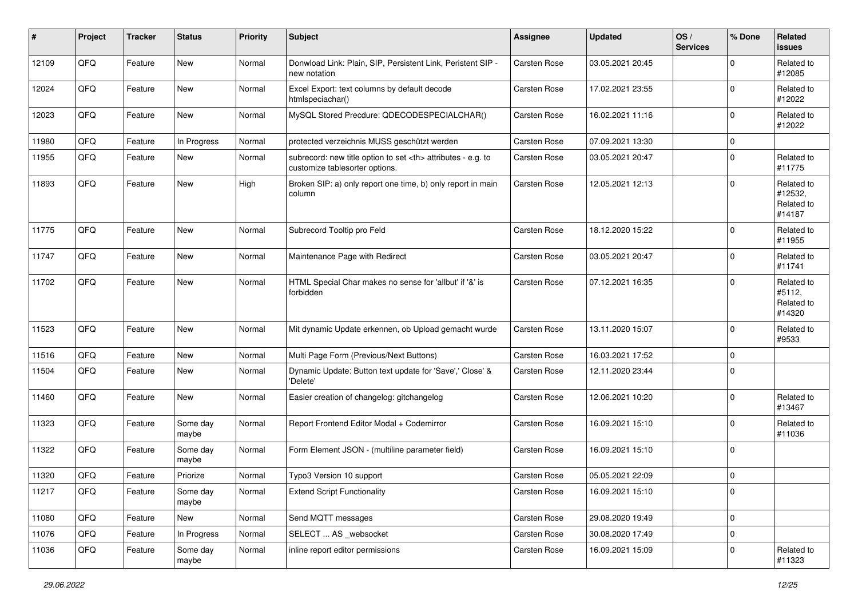| #     | Project | <b>Tracker</b> | <b>Status</b>     | <b>Priority</b> | <b>Subject</b>                                                                                       | <b>Assignee</b>                                        | <b>Updated</b>      | OS/<br><b>Services</b> | % Done      | Related<br>issues                             |                      |
|-------|---------|----------------|-------------------|-----------------|------------------------------------------------------------------------------------------------------|--------------------------------------------------------|---------------------|------------------------|-------------|-----------------------------------------------|----------------------|
| 12109 | QFQ     | Feature        | New               | Normal          | Donwload Link: Plain, SIP, Persistent Link, Peristent SIP -<br>new notation                          | <b>Carsten Rose</b>                                    | 03.05.2021 20:45    |                        | $\mathbf 0$ | Related to<br>#12085                          |                      |
| 12024 | QFQ     | Feature        | New               | Normal          | Excel Export: text columns by default decode<br>htmlspeciachar()                                     | <b>Carsten Rose</b>                                    | 17.02.2021 23:55    |                        | $\mathbf 0$ | Related to<br>#12022                          |                      |
| 12023 | QFQ     | Feature        | New               | Normal          | MySQL Stored Precdure: QDECODESPECIALCHAR()                                                          | <b>Carsten Rose</b>                                    | 16.02.2021 11:16    |                        | $\pmb{0}$   | Related to<br>#12022                          |                      |
| 11980 | QFQ     | Feature        | In Progress       | Normal          | protected verzeichnis MUSS geschützt werden                                                          | <b>Carsten Rose</b>                                    | 07.09.2021 13:30    |                        | $\mathbf 0$ |                                               |                      |
| 11955 | QFQ     | Feature        | New               | Normal          | subrecord: new title option to set <th> attributes - e.g. to<br/>customize tablesorter options.</th> | attributes - e.g. to<br>customize tablesorter options. | <b>Carsten Rose</b> | 03.05.2021 20:47       |             | $\mathbf 0$                                   | Related to<br>#11775 |
| 11893 | QFQ     | Feature        | New               | High            | Broken SIP: a) only report one time, b) only report in main<br>column                                | <b>Carsten Rose</b>                                    | 12.05.2021 12:13    |                        | $\mathbf 0$ | Related to<br>#12532,<br>Related to<br>#14187 |                      |
| 11775 | QFQ     | Feature        | <b>New</b>        | Normal          | Subrecord Tooltip pro Feld                                                                           | Carsten Rose                                           | 18.12.2020 15:22    |                        | $\mathbf 0$ | Related to<br>#11955                          |                      |
| 11747 | QFQ     | Feature        | New               | Normal          | Maintenance Page with Redirect                                                                       | Carsten Rose                                           | 03.05.2021 20:47    |                        | $\pmb{0}$   | Related to<br>#11741                          |                      |
| 11702 | QFQ     | Feature        | New               | Normal          | HTML Special Char makes no sense for 'allbut' if '&' is<br>forbidden                                 | <b>Carsten Rose</b>                                    | 07.12.2021 16:35    |                        | $\mathbf 0$ | Related to<br>#5112.<br>Related to<br>#14320  |                      |
| 11523 | QFQ     | Feature        | New               | Normal          | Mit dynamic Update erkennen, ob Upload gemacht wurde                                                 | Carsten Rose                                           | 13.11.2020 15:07    |                        | $\mathbf 0$ | Related to<br>#9533                           |                      |
| 11516 | QFQ     | Feature        | New               | Normal          | Multi Page Form (Previous/Next Buttons)                                                              | <b>Carsten Rose</b>                                    | 16.03.2021 17:52    |                        | $\mathbf 0$ |                                               |                      |
| 11504 | QFQ     | Feature        | New               | Normal          | Dynamic Update: Button text update for 'Save',' Close' &<br>'Delete'                                 | <b>Carsten Rose</b>                                    | 12.11.2020 23:44    |                        | $\mathbf 0$ |                                               |                      |
| 11460 | QFQ     | Feature        | New               | Normal          | Easier creation of changelog: gitchangelog                                                           | Carsten Rose                                           | 12.06.2021 10:20    |                        | $\mathbf 0$ | Related to<br>#13467                          |                      |
| 11323 | QFQ     | Feature        | Some day<br>maybe | Normal          | Report Frontend Editor Modal + Codemirror                                                            | Carsten Rose                                           | 16.09.2021 15:10    |                        | $\mathbf 0$ | Related to<br>#11036                          |                      |
| 11322 | QFQ     | Feature        | Some day<br>maybe | Normal          | Form Element JSON - (multiline parameter field)                                                      | Carsten Rose                                           | 16.09.2021 15:10    |                        | $\pmb{0}$   |                                               |                      |
| 11320 | QFQ     | Feature        | Priorize          | Normal          | Typo3 Version 10 support                                                                             | Carsten Rose                                           | 05.05.2021 22:09    |                        | $\mathbf 0$ |                                               |                      |
| 11217 | QFG     | Feature        | Some day<br>maybe | Normal          | <b>Extend Script Functionality</b>                                                                   | Carsten Rose                                           | 16.09.2021 15:10    |                        | 0           |                                               |                      |
| 11080 | QFQ     | Feature        | New               | Normal          | Send MQTT messages                                                                                   | Carsten Rose                                           | 29.08.2020 19:49    |                        | $\pmb{0}$   |                                               |                      |
| 11076 | QFQ     | Feature        | In Progress       | Normal          | SELECT  AS_websocket                                                                                 | Carsten Rose                                           | 30.08.2020 17:49    |                        | $\mathsf 0$ |                                               |                      |
| 11036 | QFQ     | Feature        | Some day<br>maybe | Normal          | inline report editor permissions                                                                     | Carsten Rose                                           | 16.09.2021 15:09    |                        | 0           | Related to<br>#11323                          |                      |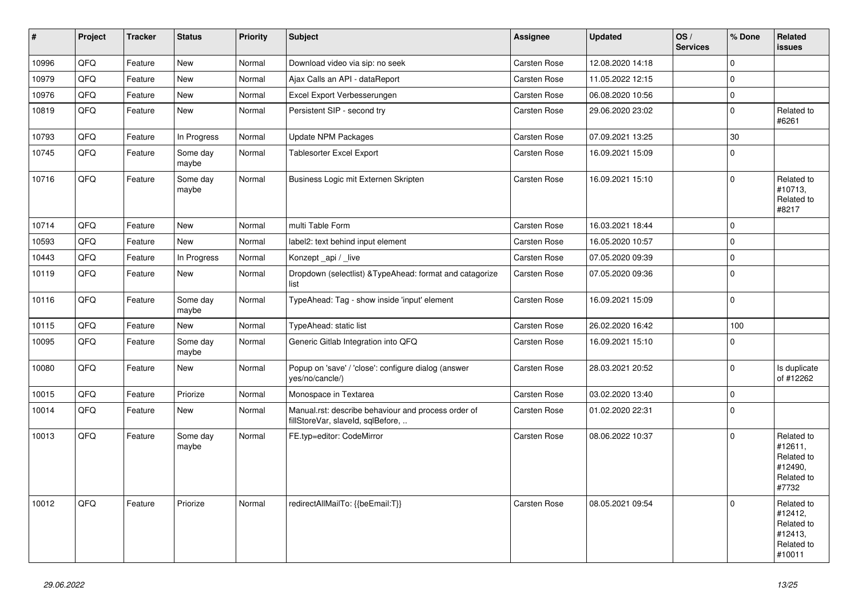| #     | Project | <b>Tracker</b> | <b>Status</b>     | <b>Priority</b> | <b>Subject</b>                                                                           | <b>Assignee</b>     | <b>Updated</b>   | OS/<br><b>Services</b> | % Done      | Related<br><b>issues</b>                                               |
|-------|---------|----------------|-------------------|-----------------|------------------------------------------------------------------------------------------|---------------------|------------------|------------------------|-------------|------------------------------------------------------------------------|
| 10996 | QFQ     | Feature        | New               | Normal          | Download video via sip: no seek                                                          | Carsten Rose        | 12.08.2020 14:18 |                        | $\mathbf 0$ |                                                                        |
| 10979 | QFQ     | Feature        | <b>New</b>        | Normal          | Ajax Calls an API - dataReport                                                           | Carsten Rose        | 11.05.2022 12:15 |                        | $\mathbf 0$ |                                                                        |
| 10976 | QFQ     | Feature        | New               | Normal          | Excel Export Verbesserungen                                                              | Carsten Rose        | 06.08.2020 10:56 |                        | $\pmb{0}$   |                                                                        |
| 10819 | QFQ     | Feature        | New               | Normal          | Persistent SIP - second try                                                              | Carsten Rose        | 29.06.2020 23:02 |                        | $\mathbf 0$ | Related to<br>#6261                                                    |
| 10793 | QFQ     | Feature        | In Progress       | Normal          | Update NPM Packages                                                                      | Carsten Rose        | 07.09.2021 13:25 |                        | $30\,$      |                                                                        |
| 10745 | QFQ     | Feature        | Some day<br>maybe | Normal          | <b>Tablesorter Excel Export</b>                                                          | Carsten Rose        | 16.09.2021 15:09 |                        | $\mathbf 0$ |                                                                        |
| 10716 | QFQ     | Feature        | Some day<br>maybe | Normal          | Business Logic mit Externen Skripten                                                     | Carsten Rose        | 16.09.2021 15:10 |                        | $\mathbf 0$ | Related to<br>#10713,<br>Related to<br>#8217                           |
| 10714 | QFQ     | Feature        | <b>New</b>        | Normal          | multi Table Form                                                                         | Carsten Rose        | 16.03.2021 18:44 |                        | $\mathbf 0$ |                                                                        |
| 10593 | QFQ     | Feature        | New               | Normal          | label2: text behind input element                                                        | Carsten Rose        | 16.05.2020 10:57 |                        | $\mathbf 0$ |                                                                        |
| 10443 | QFQ     | Feature        | In Progress       | Normal          | Konzept api / live                                                                       | Carsten Rose        | 07.05.2020 09:39 |                        | $\mathbf 0$ |                                                                        |
| 10119 | QFQ     | Feature        | New               | Normal          | Dropdown (selectlist) & Type Ahead: format and catagorize<br>list                        | Carsten Rose        | 07.05.2020 09:36 |                        | $\mathbf 0$ |                                                                        |
| 10116 | QFQ     | Feature        | Some day<br>maybe | Normal          | TypeAhead: Tag - show inside 'input' element                                             | Carsten Rose        | 16.09.2021 15:09 |                        | $\mathbf 0$ |                                                                        |
| 10115 | QFQ     | Feature        | New               | Normal          | TypeAhead: static list                                                                   | Carsten Rose        | 26.02.2020 16:42 |                        | 100         |                                                                        |
| 10095 | QFQ     | Feature        | Some day<br>maybe | Normal          | Generic Gitlab Integration into QFQ                                                      | Carsten Rose        | 16.09.2021 15:10 |                        | $\Omega$    |                                                                        |
| 10080 | QFQ     | Feature        | New               | Normal          | Popup on 'save' / 'close': configure dialog (answer<br>yes/no/cancle/)                   | Carsten Rose        | 28.03.2021 20:52 |                        | $\mathbf 0$ | Is duplicate<br>of #12262                                              |
| 10015 | QFQ     | Feature        | Priorize          | Normal          | Monospace in Textarea                                                                    | Carsten Rose        | 03.02.2020 13:40 |                        | $\pmb{0}$   |                                                                        |
| 10014 | QFQ     | Feature        | New               | Normal          | Manual.rst: describe behaviour and process order of<br>fillStoreVar, slaveId, sqlBefore, | Carsten Rose        | 01.02.2020 22:31 |                        | $\mathbf 0$ |                                                                        |
| 10013 | QFQ     | Feature        | Some day<br>maybe | Normal          | FE.typ=editor: CodeMirror                                                                | <b>Carsten Rose</b> | 08.06.2022 10:37 |                        | $\Omega$    | Related to<br>#12611,<br>Related to<br>#12490,<br>Related to<br>#7732  |
| 10012 | QFQ     | Feature        | Priorize          | Normal          | redirectAllMailTo: {{beEmail:T}}                                                         | Carsten Rose        | 08.05.2021 09:54 |                        | $\Omega$    | Related to<br>#12412,<br>Related to<br>#12413,<br>Related to<br>#10011 |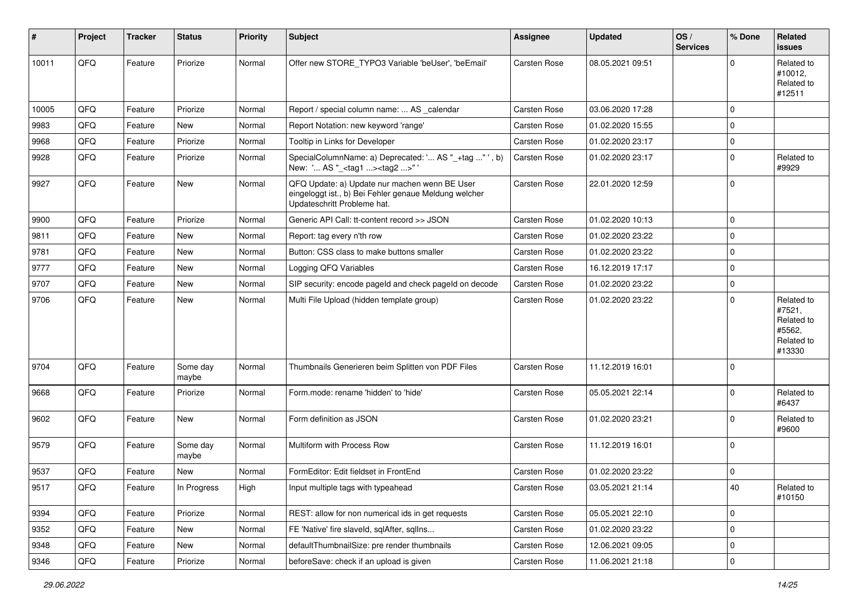| #     | Project | <b>Tracker</b> | <b>Status</b>     | <b>Priority</b> | Subject                                                                                                                               | <b>Assignee</b>     | <b>Updated</b>   | OS/<br><b>Services</b> | % Done      | Related<br><b>issues</b>                                             |
|-------|---------|----------------|-------------------|-----------------|---------------------------------------------------------------------------------------------------------------------------------------|---------------------|------------------|------------------------|-------------|----------------------------------------------------------------------|
| 10011 | QFQ     | Feature        | Priorize          | Normal          | Offer new STORE TYPO3 Variable 'beUser', 'beEmail'                                                                                    | <b>Carsten Rose</b> | 08.05.2021 09:51 |                        | $\Omega$    | Related to<br>#10012,<br>Related to<br>#12511                        |
| 10005 | QFQ     | Feature        | Priorize          | Normal          | Report / special column name:  AS _calendar                                                                                           | Carsten Rose        | 03.06.2020 17:28 |                        | $\mathbf 0$ |                                                                      |
| 9983  | QFQ     | Feature        | New               | Normal          | Report Notation: new keyword 'range'                                                                                                  | <b>Carsten Rose</b> | 01.02.2020 15:55 |                        | $\Omega$    |                                                                      |
| 9968  | QFQ     | Feature        | Priorize          | Normal          | Tooltip in Links for Developer                                                                                                        | Carsten Rose        | 01.02.2020 23:17 |                        | 0           |                                                                      |
| 9928  | QFQ     | Feature        | Priorize          | Normal          | SpecialColumnName: a) Deprecated: ' AS "_+tag " ', b)<br>New: ' AS "_ <tag1><tag2>"</tag2></tag1>                                     | Carsten Rose        | 01.02.2020 23:17 |                        | $\Omega$    | Related to<br>#9929                                                  |
| 9927  | QFQ     | Feature        | <b>New</b>        | Normal          | QFQ Update: a) Update nur machen wenn BE User<br>eingeloggt ist., b) Bei Fehler genaue Meldung welcher<br>Updateschritt Probleme hat. | Carsten Rose        | 22.01.2020 12:59 |                        | $\mathbf 0$ |                                                                      |
| 9900  | QFQ     | Feature        | Priorize          | Normal          | Generic API Call: tt-content record >> JSON                                                                                           | Carsten Rose        | 01.02.2020 10:13 |                        | $\mathbf 0$ |                                                                      |
| 9811  | QFQ     | Feature        | New               | Normal          | Report: tag every n'th row                                                                                                            | Carsten Rose        | 01.02.2020 23:22 |                        | $\Omega$    |                                                                      |
| 9781  | QFQ     | Feature        | <b>New</b>        | Normal          | Button: CSS class to make buttons smaller                                                                                             | Carsten Rose        | 01.02.2020 23:22 |                        | $\mathbf 0$ |                                                                      |
| 9777  | QFQ     | Feature        | New               | Normal          | Logging QFQ Variables                                                                                                                 | Carsten Rose        | 16.12.2019 17:17 |                        | $\mathbf 0$ |                                                                      |
| 9707  | QFQ     | Feature        | New               | Normal          | SIP security: encode pageld and check pageld on decode                                                                                | <b>Carsten Rose</b> | 01.02.2020 23:22 |                        | $\mathbf 0$ |                                                                      |
| 9706  | QFQ     | Feature        | New               | Normal          | Multi File Upload (hidden template group)                                                                                             | Carsten Rose        | 01.02.2020 23:22 |                        | $\Omega$    | Related to<br>#7521,<br>Related to<br>#5562,<br>Related to<br>#13330 |
| 9704  | QFQ     | Feature        | Some day<br>maybe | Normal          | Thumbnails Generieren beim Splitten von PDF Files                                                                                     | <b>Carsten Rose</b> | 11.12.2019 16:01 |                        | $\Omega$    |                                                                      |
| 9668  | QFQ     | Feature        | Priorize          | Normal          | Form.mode: rename 'hidden' to 'hide'                                                                                                  | <b>Carsten Rose</b> | 05.05.2021 22:14 |                        | $\Omega$    | Related to<br>#6437                                                  |
| 9602  | QFQ     | Feature        | New               | Normal          | Form definition as JSON                                                                                                               | Carsten Rose        | 01.02.2020 23:21 |                        | $\mathbf 0$ | Related to<br>#9600                                                  |
| 9579  | QFQ     | Feature        | Some day<br>maybe | Normal          | Multiform with Process Row                                                                                                            | Carsten Rose        | 11.12.2019 16:01 |                        | $\Omega$    |                                                                      |
| 9537  | QFQ     | Feature        | New               | Normal          | FormEditor: Edit fieldset in FrontEnd                                                                                                 | Carsten Rose        | 01.02.2020 23:22 |                        | $\mathbf 0$ |                                                                      |
| 9517  | QFQ     | Feature        | In Progress       | High            | Input multiple tags with typeahead                                                                                                    | Carsten Rose        | 03.05.2021 21:14 |                        | 40          | Related to<br>#10150                                                 |
| 9394  | QFQ     | Feature        | Priorize          | Normal          | REST: allow for non numerical ids in get requests                                                                                     | Carsten Rose        | 05.05.2021 22:10 |                        | $\mathbf 0$ |                                                                      |
| 9352  | QFQ     | Feature        | New               | Normal          | FE 'Native' fire slaveld, sqlAfter, sqlIns                                                                                            | Carsten Rose        | 01.02.2020 23:22 |                        | $\pmb{0}$   |                                                                      |
| 9348  | QFQ     | Feature        | New               | Normal          | defaultThumbnailSize: pre render thumbnails                                                                                           | Carsten Rose        | 12.06.2021 09:05 |                        | 0           |                                                                      |
| 9346  | QFQ     | Feature        | Priorize          | Normal          | beforeSave: check if an upload is given                                                                                               | Carsten Rose        | 11.06.2021 21:18 |                        | $\pmb{0}$   |                                                                      |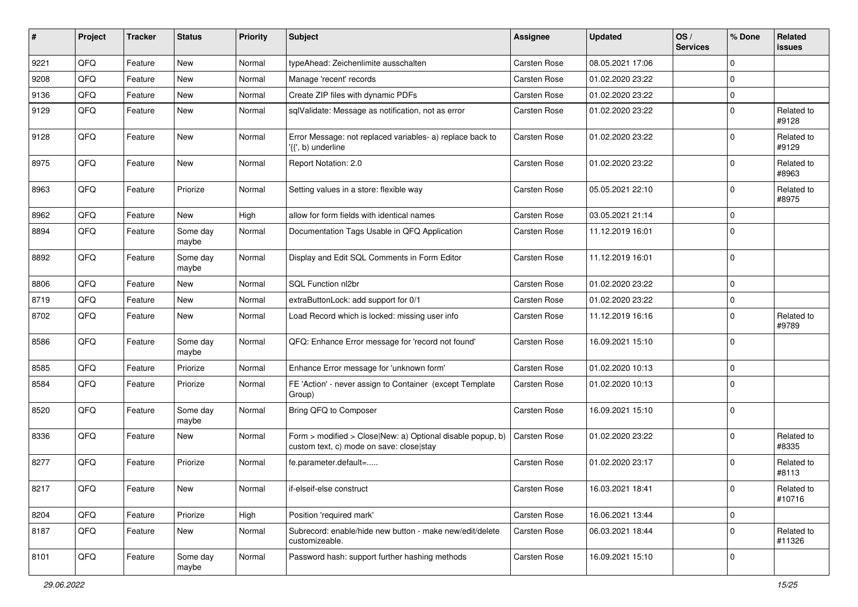| ∦    | Project | <b>Tracker</b> | <b>Status</b>     | <b>Priority</b> | <b>Subject</b>                                                                                         | <b>Assignee</b>     | <b>Updated</b>   | OS/<br><b>Services</b> | % Done      | Related<br><b>issues</b> |
|------|---------|----------------|-------------------|-----------------|--------------------------------------------------------------------------------------------------------|---------------------|------------------|------------------------|-------------|--------------------------|
| 9221 | QFQ     | Feature        | <b>New</b>        | Normal          | typeAhead: Zeichenlimite ausschalten                                                                   | <b>Carsten Rose</b> | 08.05.2021 17:06 |                        | $\mathbf 0$ |                          |
| 9208 | QFQ     | Feature        | New               | Normal          | Manage 'recent' records                                                                                | Carsten Rose        | 01.02.2020 23:22 |                        | $\mathbf 0$ |                          |
| 9136 | QFQ     | Feature        | New               | Normal          | Create ZIP files with dynamic PDFs                                                                     | Carsten Rose        | 01.02.2020 23:22 |                        | $\mathbf 0$ |                          |
| 9129 | QFQ     | Feature        | <b>New</b>        | Normal          | sqlValidate: Message as notification, not as error                                                     | <b>Carsten Rose</b> | 01.02.2020 23:22 |                        | $\mathbf 0$ | Related to<br>#9128      |
| 9128 | QFQ     | Feature        | <b>New</b>        | Normal          | Error Message: not replaced variables- a) replace back to<br>'{{', b) underline                        | <b>Carsten Rose</b> | 01.02.2020 23:22 |                        | $\Omega$    | Related to<br>#9129      |
| 8975 | QFQ     | Feature        | New               | Normal          | Report Notation: 2.0                                                                                   | Carsten Rose        | 01.02.2020 23:22 |                        | $\Omega$    | Related to<br>#8963      |
| 8963 | QFQ     | Feature        | Priorize          | Normal          | Setting values in a store: flexible way                                                                | Carsten Rose        | 05.05.2021 22:10 |                        | $\mathbf 0$ | Related to<br>#8975      |
| 8962 | QFQ     | Feature        | <b>New</b>        | High            | allow for form fields with identical names                                                             | Carsten Rose        | 03.05.2021 21:14 |                        | $\mathbf 0$ |                          |
| 8894 | QFQ     | Feature        | Some day<br>maybe | Normal          | Documentation Tags Usable in QFQ Application                                                           | Carsten Rose        | 11.12.2019 16:01 |                        | $\Omega$    |                          |
| 8892 | QFQ     | Feature        | Some day<br>maybe | Normal          | Display and Edit SQL Comments in Form Editor                                                           | Carsten Rose        | 11.12.2019 16:01 |                        | $\mathbf 0$ |                          |
| 8806 | QFQ     | Feature        | <b>New</b>        | Normal          | SQL Function nl2br                                                                                     | Carsten Rose        | 01.02.2020 23:22 |                        | $\mathbf 0$ |                          |
| 8719 | QFQ     | Feature        | New               | Normal          | extraButtonLock: add support for 0/1                                                                   | Carsten Rose        | 01.02.2020 23:22 |                        | $\pmb{0}$   |                          |
| 8702 | QFQ     | Feature        | New               | Normal          | Load Record which is locked: missing user info                                                         | <b>Carsten Rose</b> | 11.12.2019 16:16 |                        | $\mathbf 0$ | Related to<br>#9789      |
| 8586 | QFQ     | Feature        | Some day<br>maybe | Normal          | QFQ: Enhance Error message for 'record not found'                                                      | Carsten Rose        | 16.09.2021 15:10 |                        | $\mathbf 0$ |                          |
| 8585 | QFQ     | Feature        | Priorize          | Normal          | Enhance Error message for 'unknown form'                                                               | <b>Carsten Rose</b> | 01.02.2020 10:13 |                        | $\mathbf 0$ |                          |
| 8584 | QFQ     | Feature        | Priorize          | Normal          | FE 'Action' - never assign to Container (except Template<br>Group)                                     | Carsten Rose        | 01.02.2020 10:13 |                        | $\Omega$    |                          |
| 8520 | QFQ     | Feature        | Some day<br>maybe | Normal          | Bring QFQ to Composer                                                                                  | Carsten Rose        | 16.09.2021 15:10 |                        | $\Omega$    |                          |
| 8336 | QFQ     | Feature        | New               | Normal          | Form > modified > Close New: a) Optional disable popup, b)<br>custom text, c) mode on save: close stay | <b>Carsten Rose</b> | 01.02.2020 23:22 |                        | $\Omega$    | Related to<br>#8335      |
| 8277 | QFQ     | Feature        | Priorize          | Normal          | fe.parameter.default=                                                                                  | Carsten Rose        | 01.02.2020 23:17 |                        | $\Omega$    | Related to<br>#8113      |
| 8217 | QFQ     | Feature        | New               | Normal          | if-elseif-else construct                                                                               | Carsten Rose        | 16.03.2021 18:41 |                        | 0           | Related to<br>#10716     |
| 8204 | QFQ     | Feature        | Priorize          | High            | Position 'required mark'                                                                               | Carsten Rose        | 16.06.2021 13:44 |                        | $\mathbf 0$ |                          |
| 8187 | QFQ     | Feature        | New               | Normal          | Subrecord: enable/hide new button - make new/edit/delete<br>customizeable.                             | Carsten Rose        | 06.03.2021 18:44 |                        | $\mathbf 0$ | Related to<br>#11326     |
| 8101 | QFG     | Feature        | Some day<br>maybe | Normal          | Password hash: support further hashing methods                                                         | Carsten Rose        | 16.09.2021 15:10 |                        | $\mathbf 0$ |                          |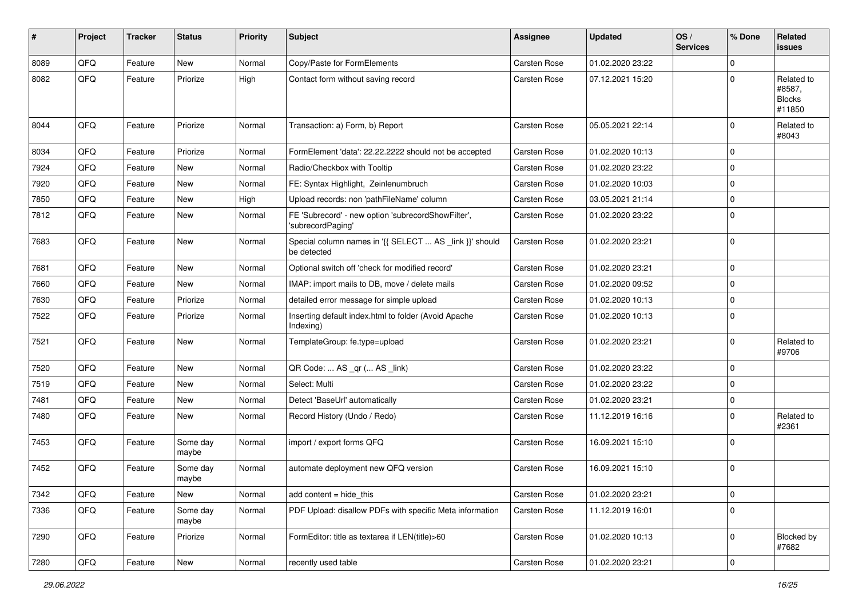| #    | Project | <b>Tracker</b> | <b>Status</b>     | <b>Priority</b> | <b>Subject</b>                                                          | <b>Assignee</b>     | <b>Updated</b>   | OS/<br><b>Services</b> | % Done      | Related<br><b>issues</b>                        |
|------|---------|----------------|-------------------|-----------------|-------------------------------------------------------------------------|---------------------|------------------|------------------------|-------------|-------------------------------------------------|
| 8089 | QFQ     | Feature        | <b>New</b>        | Normal          | Copy/Paste for FormElements                                             | <b>Carsten Rose</b> | 01.02.2020 23:22 |                        | $\Omega$    |                                                 |
| 8082 | QFQ     | Feature        | Priorize          | High            | Contact form without saving record                                      | Carsten Rose        | 07.12.2021 15:20 |                        | $\Omega$    | Related to<br>#8587,<br><b>Blocks</b><br>#11850 |
| 8044 | QFQ     | Feature        | Priorize          | Normal          | Transaction: a) Form, b) Report                                         | <b>Carsten Rose</b> | 05.05.2021 22:14 |                        | $\mathbf 0$ | Related to<br>#8043                             |
| 8034 | QFQ     | Feature        | Priorize          | Normal          | FormElement 'data': 22.22.2222 should not be accepted                   | <b>Carsten Rose</b> | 01.02.2020 10:13 |                        | $\mathbf 0$ |                                                 |
| 7924 | QFQ     | Feature        | New               | Normal          | Radio/Checkbox with Tooltip                                             | Carsten Rose        | 01.02.2020 23:22 |                        | $\mathbf 0$ |                                                 |
| 7920 | QFQ     | Feature        | New               | Normal          | FE: Syntax Highlight, Zeinlenumbruch                                    | Carsten Rose        | 01.02.2020 10:03 |                        | $\mathbf 0$ |                                                 |
| 7850 | QFQ     | Feature        | <b>New</b>        | High            | Upload records: non 'pathFileName' column                               | Carsten Rose        | 03.05.2021 21:14 |                        | $\mathbf 0$ |                                                 |
| 7812 | QFQ     | Feature        | <b>New</b>        | Normal          | FE 'Subrecord' - new option 'subrecordShowFilter',<br>'subrecordPaging' | Carsten Rose        | 01.02.2020 23:22 |                        | $\Omega$    |                                                 |
| 7683 | QFQ     | Feature        | <b>New</b>        | Normal          | Special column names in '{{ SELECT  AS _link }}' should<br>be detected  | Carsten Rose        | 01.02.2020 23:21 |                        | $\mathbf 0$ |                                                 |
| 7681 | QFQ     | Feature        | New               | Normal          | Optional switch off 'check for modified record'                         | Carsten Rose        | 01.02.2020 23:21 |                        | $\mathbf 0$ |                                                 |
| 7660 | QFQ     | Feature        | <b>New</b>        | Normal          | IMAP: import mails to DB, move / delete mails                           | Carsten Rose        | 01.02.2020 09:52 |                        | $\mathbf 0$ |                                                 |
| 7630 | QFQ     | Feature        | Priorize          | Normal          | detailed error message for simple upload                                | Carsten Rose        | 01.02.2020 10:13 |                        | $\mathbf 0$ |                                                 |
| 7522 | QFQ     | Feature        | Priorize          | Normal          | Inserting default index.html to folder (Avoid Apache<br>Indexing)       | Carsten Rose        | 01.02.2020 10:13 |                        | $\Omega$    |                                                 |
| 7521 | QFQ     | Feature        | New               | Normal          | TemplateGroup: fe.type=upload                                           | Carsten Rose        | 01.02.2020 23:21 |                        | $\mathbf 0$ | Related to<br>#9706                             |
| 7520 | QFQ     | Feature        | <b>New</b>        | Normal          | QR Code:  AS _qr ( AS _link)                                            | Carsten Rose        | 01.02.2020 23:22 |                        | $\mathbf 0$ |                                                 |
| 7519 | QFQ     | Feature        | New               | Normal          | Select: Multi                                                           | Carsten Rose        | 01.02.2020 23:22 |                        | $\mathbf 0$ |                                                 |
| 7481 | QFQ     | Feature        | <b>New</b>        | Normal          | Detect 'BaseUrl' automatically                                          | Carsten Rose        | 01.02.2020 23:21 |                        | $\mathbf 0$ |                                                 |
| 7480 | QFQ     | Feature        | New               | Normal          | Record History (Undo / Redo)                                            | Carsten Rose        | 11.12.2019 16:16 |                        | $\mathbf 0$ | Related to<br>#2361                             |
| 7453 | QFQ     | Feature        | Some day<br>maybe | Normal          | import / export forms QFQ                                               | Carsten Rose        | 16.09.2021 15:10 |                        | $\Omega$    |                                                 |
| 7452 | QFQ     | Feature        | Some day<br>maybe | Normal          | automate deployment new QFQ version                                     | Carsten Rose        | 16.09.2021 15:10 |                        | $\mathbf 0$ |                                                 |
| 7342 | QFQ     | Feature        | New               | Normal          | add content $=$ hide this                                               | Carsten Rose        | 01.02.2020 23:21 |                        | $\mathsf 0$ |                                                 |
| 7336 | QFQ     | Feature        | Some day<br>maybe | Normal          | PDF Upload: disallow PDFs with specific Meta information                | Carsten Rose        | 11.12.2019 16:01 |                        | $\pmb{0}$   |                                                 |
| 7290 | QFQ     | Feature        | Priorize          | Normal          | FormEditor: title as textarea if LEN(title)>60                          | Carsten Rose        | 01.02.2020 10:13 |                        | $\mathbf 0$ | Blocked by<br>#7682                             |
| 7280 | QFQ     | Feature        | New               | Normal          | recently used table                                                     | Carsten Rose        | 01.02.2020 23:21 |                        | $\pmb{0}$   |                                                 |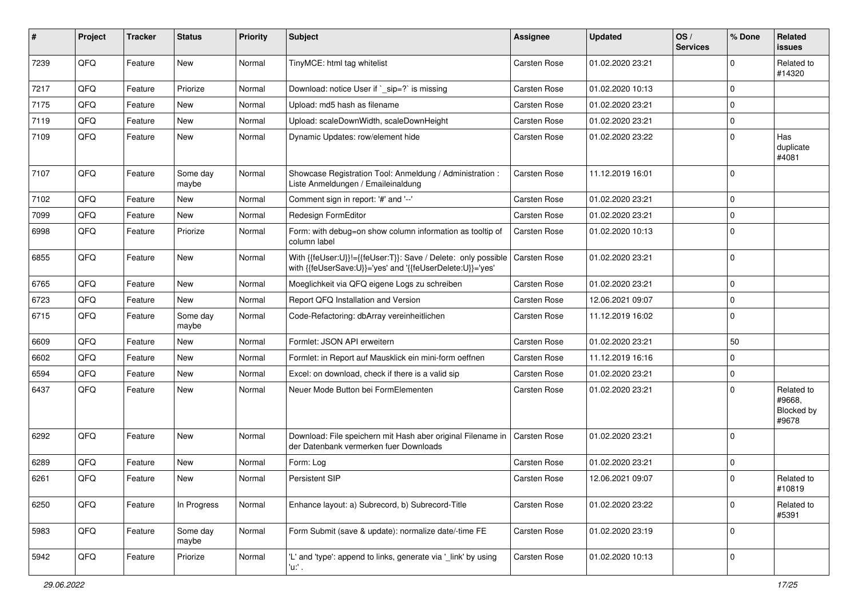| $\sharp$ | Project | <b>Tracker</b> | <b>Status</b>     | <b>Priority</b> | <b>Subject</b>                                                                                                             | Assignee     | <b>Updated</b>   | OS/<br><b>Services</b> | % Done      | Related<br><b>issues</b>                    |
|----------|---------|----------------|-------------------|-----------------|----------------------------------------------------------------------------------------------------------------------------|--------------|------------------|------------------------|-------------|---------------------------------------------|
| 7239     | QFQ     | Feature        | <b>New</b>        | Normal          | TinyMCE: html tag whitelist                                                                                                | Carsten Rose | 01.02.2020 23:21 |                        | $\mathbf 0$ | Related to<br>#14320                        |
| 7217     | QFQ     | Feature        | Priorize          | Normal          | Download: notice User if `_sip=?` is missing                                                                               | Carsten Rose | 01.02.2020 10:13 |                        | $\pmb{0}$   |                                             |
| 7175     | QFQ     | Feature        | <b>New</b>        | Normal          | Upload: md5 hash as filename                                                                                               | Carsten Rose | 01.02.2020 23:21 |                        | $\mathbf 0$ |                                             |
| 7119     | QFQ     | Feature        | New               | Normal          | Upload: scaleDownWidth, scaleDownHeight                                                                                    | Carsten Rose | 01.02.2020 23:21 |                        | $\pmb{0}$   |                                             |
| 7109     | QFQ     | Feature        | New               | Normal          | Dynamic Updates: row/element hide                                                                                          | Carsten Rose | 01.02.2020 23:22 |                        | $\Omega$    | Has<br>duplicate<br>#4081                   |
| 7107     | QFQ     | Feature        | Some day<br>maybe | Normal          | Showcase Registration Tool: Anmeldung / Administration :<br>Liste Anmeldungen / Emaileinaldung                             | Carsten Rose | 11.12.2019 16:01 |                        | 0           |                                             |
| 7102     | QFQ     | Feature        | New               | Normal          | Comment sign in report: '#' and '--'                                                                                       | Carsten Rose | 01.02.2020 23:21 |                        | $\pmb{0}$   |                                             |
| 7099     | QFQ     | Feature        | <b>New</b>        | Normal          | Redesign FormEditor                                                                                                        | Carsten Rose | 01.02.2020 23:21 |                        | $\mathbf 0$ |                                             |
| 6998     | QFQ     | Feature        | Priorize          | Normal          | Form: with debug=on show column information as tooltip of<br>column label                                                  | Carsten Rose | 01.02.2020 10:13 |                        | 0           |                                             |
| 6855     | QFQ     | Feature        | New               | Normal          | With {{feUser:U}}!={{feUser:T}}: Save / Delete: only possible<br>with {{feUserSave:U}}='yes' and '{{feUserDelete:U}}='yes' | Carsten Rose | 01.02.2020 23:21 |                        | $\pmb{0}$   |                                             |
| 6765     | QFQ     | Feature        | <b>New</b>        | Normal          | Moeglichkeit via QFQ eigene Logs zu schreiben                                                                              | Carsten Rose | 01.02.2020 23:21 |                        | $\pmb{0}$   |                                             |
| 6723     | QFQ     | Feature        | New               | Normal          | Report QFQ Installation and Version                                                                                        | Carsten Rose | 12.06.2021 09:07 |                        | $\pmb{0}$   |                                             |
| 6715     | QFQ     | Feature        | Some day<br>maybe | Normal          | Code-Refactoring: dbArray vereinheitlichen                                                                                 | Carsten Rose | 11.12.2019 16:02 |                        | $\mathbf 0$ |                                             |
| 6609     | QFQ     | Feature        | New               | Normal          | Formlet: JSON API erweitern                                                                                                | Carsten Rose | 01.02.2020 23:21 |                        | 50          |                                             |
| 6602     | QFQ     | Feature        | New               | Normal          | Formlet: in Report auf Mausklick ein mini-form oeffnen                                                                     | Carsten Rose | 11.12.2019 16:16 |                        | $\pmb{0}$   |                                             |
| 6594     | QFQ     | Feature        | New               | Normal          | Excel: on download, check if there is a valid sip                                                                          | Carsten Rose | 01.02.2020 23:21 |                        | $\pmb{0}$   |                                             |
| 6437     | QFQ     | Feature        | New               | Normal          | Neuer Mode Button bei FormElementen                                                                                        | Carsten Rose | 01.02.2020 23:21 |                        | $\mathbf 0$ | Related to<br>#9668.<br>Blocked by<br>#9678 |
| 6292     | QFQ     | Feature        | New               | Normal          | Download: File speichern mit Hash aber original Filename in   Carsten Rose<br>der Datenbank vermerken fuer Downloads       |              | 01.02.2020 23:21 |                        | $\mathbf 0$ |                                             |
| 6289     | QFQ     | Feature        | New               | Normal          | Form: Log                                                                                                                  | Carsten Rose | 01.02.2020 23:21 |                        | $\pmb{0}$   |                                             |
| 6261     | QFQ     | Feature        | New               | Normal          | Persistent SIP                                                                                                             | Carsten Rose | 12.06.2021 09:07 |                        | $\mathbf 0$ | Related to<br>#10819                        |
| 6250     | QFQ     | Feature        | In Progress       | Normal          | Enhance layout: a) Subrecord, b) Subrecord-Title                                                                           | Carsten Rose | 01.02.2020 23:22 |                        | $\pmb{0}$   | Related to<br>#5391                         |
| 5983     | QFQ     | Feature        | Some day<br>maybe | Normal          | Form Submit (save & update): normalize date/-time FE                                                                       | Carsten Rose | 01.02.2020 23:19 |                        | $\pmb{0}$   |                                             |
| 5942     | QFQ     | Feature        | Priorize          | Normal          | 'L' and 'type': append to links, generate via '_link' by using<br>'u:' .                                                   | Carsten Rose | 01.02.2020 10:13 |                        | $\pmb{0}$   |                                             |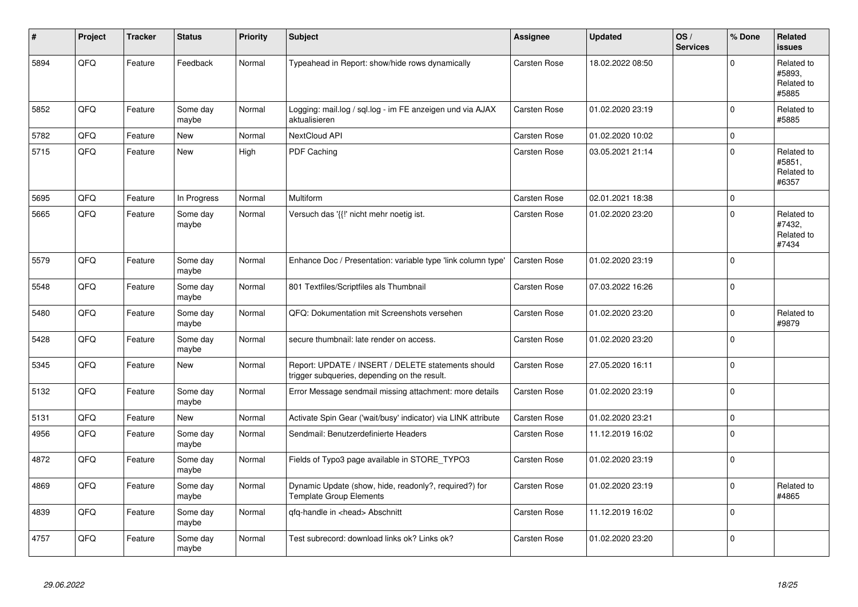| #    | Project | <b>Tracker</b> | <b>Status</b>     | <b>Priority</b> | <b>Subject</b>                                                                                     | Assignee            | <b>Updated</b>   | OS/<br><b>Services</b> | % Done      | Related<br><b>issues</b>                    |
|------|---------|----------------|-------------------|-----------------|----------------------------------------------------------------------------------------------------|---------------------|------------------|------------------------|-------------|---------------------------------------------|
| 5894 | QFQ     | Feature        | Feedback          | Normal          | Typeahead in Report: show/hide rows dynamically                                                    | <b>Carsten Rose</b> | 18.02.2022 08:50 |                        | $\Omega$    | Related to<br>#5893.<br>Related to<br>#5885 |
| 5852 | QFQ     | Feature        | Some day<br>maybe | Normal          | Logging: mail.log / sql.log - im FE anzeigen und via AJAX<br>aktualisieren                         | Carsten Rose        | 01.02.2020 23:19 |                        | $\mathbf 0$ | Related to<br>#5885                         |
| 5782 | QFQ     | Feature        | <b>New</b>        | Normal          | NextCloud API                                                                                      | Carsten Rose        | 01.02.2020 10:02 |                        | $\mathbf 0$ |                                             |
| 5715 | QFQ     | Feature        | New               | High            | PDF Caching                                                                                        | Carsten Rose        | 03.05.2021 21:14 |                        | $\Omega$    | Related to<br>#5851,<br>Related to<br>#6357 |
| 5695 | QFQ     | Feature        | In Progress       | Normal          | Multiform                                                                                          | Carsten Rose        | 02.01.2021 18:38 |                        | $\pmb{0}$   |                                             |
| 5665 | QFQ     | Feature        | Some day<br>maybe | Normal          | Versuch das '{{!' nicht mehr noetig ist.                                                           | Carsten Rose        | 01.02.2020 23:20 |                        | $\Omega$    | Related to<br>#7432,<br>Related to<br>#7434 |
| 5579 | QFQ     | Feature        | Some day<br>maybe | Normal          | Enhance Doc / Presentation: variable type 'link column type'                                       | Carsten Rose        | 01.02.2020 23:19 |                        | $\Omega$    |                                             |
| 5548 | QFQ     | Feature        | Some day<br>maybe | Normal          | 801 Textfiles/Scriptfiles als Thumbnail                                                            | Carsten Rose        | 07.03.2022 16:26 |                        | $\Omega$    |                                             |
| 5480 | QFQ     | Feature        | Some day<br>maybe | Normal          | QFQ: Dokumentation mit Screenshots versehen                                                        | Carsten Rose        | 01.02.2020 23:20 |                        | $\mathbf 0$ | Related to<br>#9879                         |
| 5428 | QFQ     | Feature        | Some day<br>maybe | Normal          | secure thumbnail: late render on access.                                                           | Carsten Rose        | 01.02.2020 23:20 |                        | $\Omega$    |                                             |
| 5345 | QFQ     | Feature        | <b>New</b>        | Normal          | Report: UPDATE / INSERT / DELETE statements should<br>trigger subqueries, depending on the result. | Carsten Rose        | 27.05.2020 16:11 |                        | $\Omega$    |                                             |
| 5132 | QFQ     | Feature        | Some day<br>maybe | Normal          | Error Message sendmail missing attachment: more details                                            | Carsten Rose        | 01.02.2020 23:19 |                        | $\pmb{0}$   |                                             |
| 5131 | QFQ     | Feature        | <b>New</b>        | Normal          | Activate Spin Gear ('wait/busy' indicator) via LINK attribute                                      | Carsten Rose        | 01.02.2020 23:21 |                        | $\pmb{0}$   |                                             |
| 4956 | QFQ     | Feature        | Some day<br>maybe | Normal          | Sendmail: Benutzerdefinierte Headers                                                               | Carsten Rose        | 11.12.2019 16:02 |                        | $\mathbf 0$ |                                             |
| 4872 | QFQ     | Feature        | Some day<br>maybe | Normal          | Fields of Typo3 page available in STORE_TYPO3                                                      | Carsten Rose        | 01.02.2020 23:19 |                        | $\Omega$    |                                             |
| 4869 | QFQ     | Feature        | Some day<br>maybe | Normal          | Dynamic Update (show, hide, readonly?, required?) for<br><b>Template Group Elements</b>            | Carsten Rose        | 01.02.2020 23:19 |                        | $\Omega$    | Related to<br>#4865                         |
| 4839 | QFQ     | Feature        | Some day<br>maybe | Normal          | qfq-handle in <head> Abschnitt</head>                                                              | Carsten Rose        | 11.12.2019 16:02 |                        | $\Omega$    |                                             |
| 4757 | QFQ     | Feature        | Some day<br>maybe | Normal          | Test subrecord: download links ok? Links ok?                                                       | Carsten Rose        | 01.02.2020 23:20 |                        | $\Omega$    |                                             |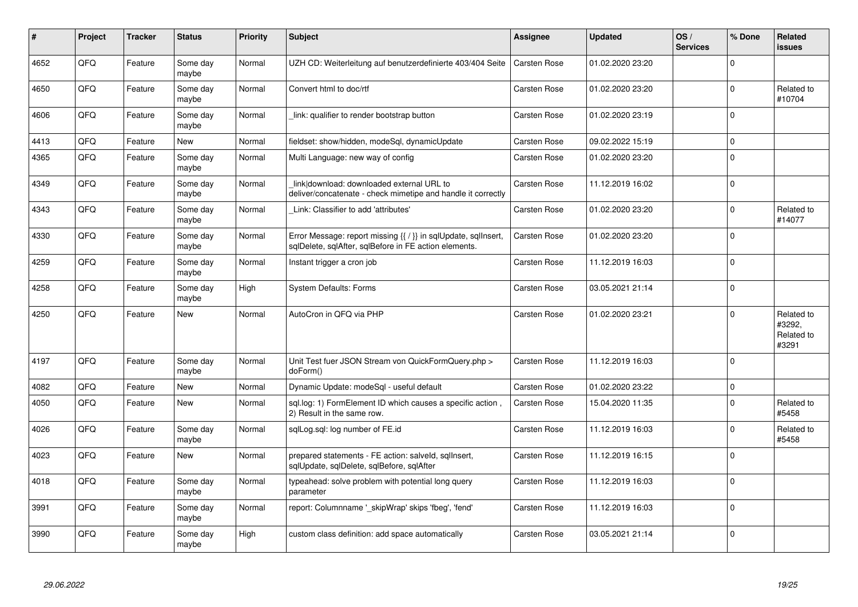| $\sharp$ | Project | <b>Tracker</b> | <b>Status</b>     | <b>Priority</b> | <b>Subject</b>                                                                                                          | Assignee            | <b>Updated</b>   | OS/<br><b>Services</b> | % Done      | <b>Related</b><br><b>issues</b>             |
|----------|---------|----------------|-------------------|-----------------|-------------------------------------------------------------------------------------------------------------------------|---------------------|------------------|------------------------|-------------|---------------------------------------------|
| 4652     | QFQ     | Feature        | Some day<br>maybe | Normal          | UZH CD: Weiterleitung auf benutzerdefinierte 403/404 Seite                                                              | Carsten Rose        | 01.02.2020 23:20 |                        | $\mathbf 0$ |                                             |
| 4650     | QFQ     | Feature        | Some day<br>maybe | Normal          | Convert html to doc/rtf                                                                                                 | Carsten Rose        | 01.02.2020 23:20 |                        | $\mathbf 0$ | Related to<br>#10704                        |
| 4606     | QFQ     | Feature        | Some day<br>maybe | Normal          | link: qualifier to render bootstrap button                                                                              | Carsten Rose        | 01.02.2020 23:19 |                        | $\mathbf 0$ |                                             |
| 4413     | QFQ     | Feature        | New               | Normal          | fieldset: show/hidden, modeSql, dynamicUpdate                                                                           | Carsten Rose        | 09.02.2022 15:19 |                        | $\mathbf 0$ |                                             |
| 4365     | QFQ     | Feature        | Some day<br>maybe | Normal          | Multi Language: new way of config                                                                                       | Carsten Rose        | 01.02.2020 23:20 |                        | $\mathbf 0$ |                                             |
| 4349     | QFQ     | Feature        | Some day<br>maybe | Normal          | link download: downloaded external URL to<br>deliver/concatenate - check mimetipe and handle it correctly               | <b>Carsten Rose</b> | 11.12.2019 16:02 |                        | $\mathsf 0$ |                                             |
| 4343     | QFQ     | Feature        | Some day<br>maybe | Normal          | Link: Classifier to add 'attributes'                                                                                    | <b>Carsten Rose</b> | 01.02.2020 23:20 |                        | $\Omega$    | Related to<br>#14077                        |
| 4330     | QFQ     | Feature        | Some day<br>maybe | Normal          | Error Message: report missing {{ / }} in sqlUpdate, sqlInsert,<br>sqlDelete, sqlAfter, sqlBefore in FE action elements. | Carsten Rose        | 01.02.2020 23:20 |                        | $\mathbf 0$ |                                             |
| 4259     | QFQ     | Feature        | Some day<br>maybe | Normal          | Instant trigger a cron job                                                                                              | Carsten Rose        | 11.12.2019 16:03 |                        | $\mathbf 0$ |                                             |
| 4258     | QFQ     | Feature        | Some day<br>maybe | High            | <b>System Defaults: Forms</b>                                                                                           | Carsten Rose        | 03.05.2021 21:14 |                        | $\Omega$    |                                             |
| 4250     | QFQ     | Feature        | <b>New</b>        | Normal          | AutoCron in QFQ via PHP                                                                                                 | Carsten Rose        | 01.02.2020 23:21 |                        | $\mathbf 0$ | Related to<br>#3292,<br>Related to<br>#3291 |
| 4197     | QFQ     | Feature        | Some day<br>maybe | Normal          | Unit Test fuer JSON Stream von QuickFormQuery.php ><br>doForm()                                                         | Carsten Rose        | 11.12.2019 16:03 |                        | $\Omega$    |                                             |
| 4082     | QFQ     | Feature        | New               | Normal          | Dynamic Update: modeSql - useful default                                                                                | Carsten Rose        | 01.02.2020 23:22 |                        | $\mathsf 0$ |                                             |
| 4050     | QFQ     | Feature        | <b>New</b>        | Normal          | sql.log: 1) FormElement ID which causes a specific action,<br>2) Result in the same row.                                | <b>Carsten Rose</b> | 15.04.2020 11:35 |                        | $\mathbf 0$ | Related to<br>#5458                         |
| 4026     | QFQ     | Feature        | Some day<br>maybe | Normal          | sglLog.sgl: log number of FE.id                                                                                         | <b>Carsten Rose</b> | 11.12.2019 16:03 |                        | $\mathbf 0$ | Related to<br>#5458                         |
| 4023     | QFQ     | Feature        | New               | Normal          | prepared statements - FE action: salveld, sqllnsert,<br>sqlUpdate, sqlDelete, sqlBefore, sqlAfter                       | Carsten Rose        | 11.12.2019 16:15 |                        | $\Omega$    |                                             |
| 4018     | QFQ     | Feature        | Some day<br>maybe | Normal          | typeahead: solve problem with potential long query<br>parameter                                                         | <b>Carsten Rose</b> | 11.12.2019 16:03 |                        | $\Omega$    |                                             |
| 3991     | QFQ     | Feature        | Some day<br>maybe | Normal          | report: Columnname '_skipWrap' skips 'fbeg', 'fend'                                                                     | Carsten Rose        | 11.12.2019 16:03 |                        | $\mathbf 0$ |                                             |
| 3990     | QFQ     | Feature        | Some day<br>maybe | High            | custom class definition: add space automatically                                                                        | Carsten Rose        | 03.05.2021 21:14 |                        | $\Omega$    |                                             |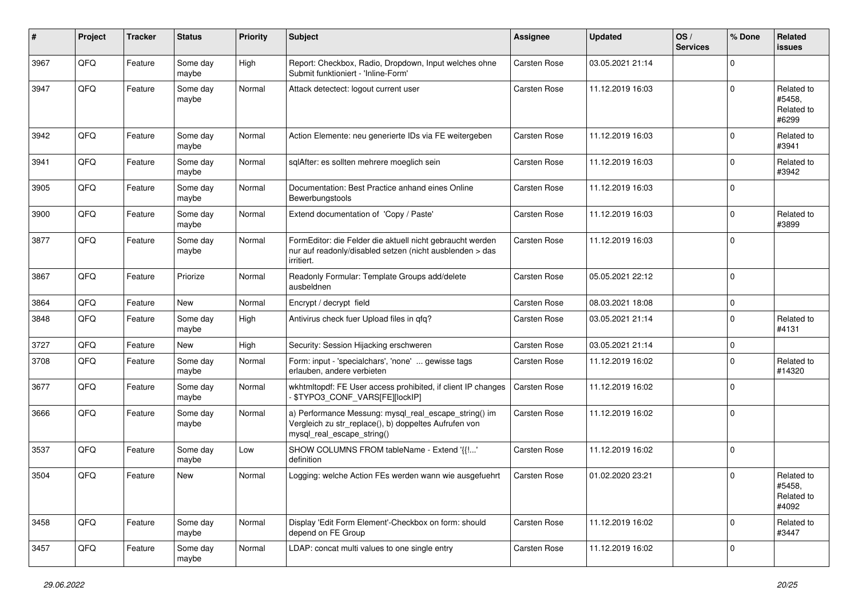| $\vert$ # | Project | <b>Tracker</b> | <b>Status</b>     | <b>Priority</b> | <b>Subject</b>                                                                                                                               | <b>Assignee</b>     | <b>Updated</b>   | OS/<br><b>Services</b> | % Done      | <b>Related</b><br><b>issues</b>             |
|-----------|---------|----------------|-------------------|-----------------|----------------------------------------------------------------------------------------------------------------------------------------------|---------------------|------------------|------------------------|-------------|---------------------------------------------|
| 3967      | QFQ     | Feature        | Some day<br>maybe | High            | Report: Checkbox, Radio, Dropdown, Input welches ohne<br>Submit funktioniert - 'Inline-Form'                                                 | Carsten Rose        | 03.05.2021 21:14 |                        | $\mathbf 0$ |                                             |
| 3947      | QFQ     | Feature        | Some day<br>maybe | Normal          | Attack detectect: logout current user                                                                                                        | Carsten Rose        | 11.12.2019 16:03 |                        | $\mathbf 0$ | Related to<br>#5458.<br>Related to<br>#6299 |
| 3942      | QFQ     | Feature        | Some day<br>maybe | Normal          | Action Elemente: neu generierte IDs via FE weitergeben                                                                                       | <b>Carsten Rose</b> | 11.12.2019 16:03 |                        | $\mathbf 0$ | Related to<br>#3941                         |
| 3941      | QFQ     | Feature        | Some day<br>maybe | Normal          | sqlAfter: es sollten mehrere moeglich sein                                                                                                   | Carsten Rose        | 11.12.2019 16:03 |                        | $\mathbf 0$ | Related to<br>#3942                         |
| 3905      | QFQ     | Feature        | Some day<br>maybe | Normal          | Documentation: Best Practice anhand eines Online<br>Bewerbungstools                                                                          | Carsten Rose        | 11.12.2019 16:03 |                        | $\mathbf 0$ |                                             |
| 3900      | QFQ     | Feature        | Some day<br>maybe | Normal          | Extend documentation of 'Copy / Paste'                                                                                                       | Carsten Rose        | 11.12.2019 16:03 |                        | $\mathbf 0$ | Related to<br>#3899                         |
| 3877      | QFQ     | Feature        | Some day<br>maybe | Normal          | FormEditor: die Felder die aktuell nicht gebraucht werden<br>nur auf readonly/disabled setzen (nicht ausblenden > das<br>irritiert.          | <b>Carsten Rose</b> | 11.12.2019 16:03 |                        | $\mathbf 0$ |                                             |
| 3867      | QFQ     | Feature        | Priorize          | Normal          | Readonly Formular: Template Groups add/delete<br>ausbeldnen                                                                                  | Carsten Rose        | 05.05.2021 22:12 |                        | $\mathbf 0$ |                                             |
| 3864      | QFQ     | Feature        | <b>New</b>        | Normal          | Encrypt / decrypt field                                                                                                                      | Carsten Rose        | 08.03.2021 18:08 |                        | $\pmb{0}$   |                                             |
| 3848      | QFQ     | Feature        | Some day<br>maybe | High            | Antivirus check fuer Upload files in qfq?                                                                                                    | Carsten Rose        | 03.05.2021 21:14 |                        | $\mathbf 0$ | Related to<br>#4131                         |
| 3727      | QFQ     | Feature        | New               | High            | Security: Session Hijacking erschweren                                                                                                       | Carsten Rose        | 03.05.2021 21:14 |                        | $\mathbf 0$ |                                             |
| 3708      | QFQ     | Feature        | Some day<br>maybe | Normal          | Form: input - 'specialchars', 'none'  gewisse tags<br>erlauben, andere verbieten                                                             | Carsten Rose        | 11.12.2019 16:02 |                        | $\mathbf 0$ | Related to<br>#14320                        |
| 3677      | QFQ     | Feature        | Some day<br>maybe | Normal          | wkhtmltopdf: FE User access prohibited, if client IP changes<br>- \$TYPO3_CONF_VARS[FE][lockIP]                                              | <b>Carsten Rose</b> | 11.12.2019 16:02 |                        | $\mathbf 0$ |                                             |
| 3666      | QFQ     | Feature        | Some day<br>maybe | Normal          | a) Performance Messung: mysql_real_escape_string() im<br>Vergleich zu str_replace(), b) doppeltes Aufrufen von<br>mysql_real_escape_string() | Carsten Rose        | 11.12.2019 16:02 |                        | $\mathbf 0$ |                                             |
| 3537      | QFQ     | Feature        | Some day<br>maybe | Low             | SHOW COLUMNS FROM tableName - Extend '{{!'<br>definition                                                                                     | Carsten Rose        | 11.12.2019 16:02 |                        | $\mathbf 0$ |                                             |
| 3504      | QFQ     | Feature        | New               | Normal          | Logging: welche Action FEs werden wann wie ausgefuehrt                                                                                       | <b>Carsten Rose</b> | 01.02.2020 23:21 |                        | $\mathbf 0$ | Related to<br>#5458,<br>Related to<br>#4092 |
| 3458      | QFQ     | Feature        | Some day<br>maybe | Normal          | Display 'Edit Form Element'-Checkbox on form: should<br>depend on FE Group                                                                   | Carsten Rose        | 11.12.2019 16:02 |                        | $\mathbf 0$ | Related to<br>#3447                         |
| 3457      | QFQ     | Feature        | Some day<br>maybe | Normal          | LDAP: concat multi values to one single entry                                                                                                | Carsten Rose        | 11.12.2019 16:02 |                        | $\mathbf 0$ |                                             |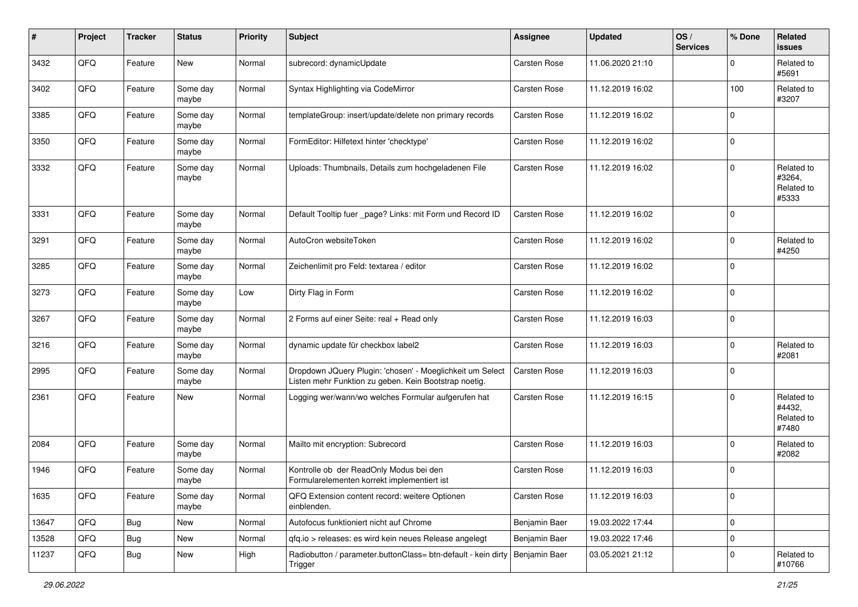| #     | Project | <b>Tracker</b> | <b>Status</b>     | <b>Priority</b> | <b>Subject</b>                                                                                                     | <b>Assignee</b>     | <b>Updated</b>   | OS/<br><b>Services</b> | % Done      | Related<br><b>issues</b>                    |
|-------|---------|----------------|-------------------|-----------------|--------------------------------------------------------------------------------------------------------------------|---------------------|------------------|------------------------|-------------|---------------------------------------------|
| 3432  | QFQ     | Feature        | <b>New</b>        | Normal          | subrecord: dynamicUpdate                                                                                           | <b>Carsten Rose</b> | 11.06.2020 21:10 |                        | $\Omega$    | Related to<br>#5691                         |
| 3402  | QFQ     | Feature        | Some day<br>maybe | Normal          | Syntax Highlighting via CodeMirror                                                                                 | Carsten Rose        | 11.12.2019 16:02 |                        | 100         | Related to<br>#3207                         |
| 3385  | QFQ     | Feature        | Some day<br>maybe | Normal          | templateGroup: insert/update/delete non primary records                                                            | <b>Carsten Rose</b> | 11.12.2019 16:02 |                        | $\Omega$    |                                             |
| 3350  | QFQ     | Feature        | Some day<br>maybe | Normal          | FormEditor: Hilfetext hinter 'checktype'                                                                           | Carsten Rose        | 11.12.2019 16:02 |                        | 0           |                                             |
| 3332  | QFQ     | Feature        | Some day<br>maybe | Normal          | Uploads: Thumbnails, Details zum hochgeladenen File                                                                | Carsten Rose        | 11.12.2019 16:02 |                        | $\Omega$    | Related to<br>#3264,<br>Related to<br>#5333 |
| 3331  | QFQ     | Feature        | Some day<br>maybe | Normal          | Default Tooltip fuer _page? Links: mit Form und Record ID                                                          | <b>Carsten Rose</b> | 11.12.2019 16:02 |                        | $\Omega$    |                                             |
| 3291  | QFQ     | Feature        | Some day<br>maybe | Normal          | AutoCron websiteToken                                                                                              | Carsten Rose        | 11.12.2019 16:02 |                        | $\Omega$    | Related to<br>#4250                         |
| 3285  | QFQ     | Feature        | Some day<br>maybe | Normal          | Zeichenlimit pro Feld: textarea / editor                                                                           | Carsten Rose        | 11.12.2019 16:02 |                        | $\mathbf 0$ |                                             |
| 3273  | QFQ     | Feature        | Some day<br>maybe | Low             | Dirty Flag in Form                                                                                                 | Carsten Rose        | 11.12.2019 16:02 |                        | $\Omega$    |                                             |
| 3267  | QFQ     | Feature        | Some day<br>maybe | Normal          | 2 Forms auf einer Seite: real + Read only                                                                          | Carsten Rose        | 11.12.2019 16:03 |                        | $\mathbf 0$ |                                             |
| 3216  | QFQ     | Feature        | Some day<br>maybe | Normal          | dynamic update für checkbox label2                                                                                 | <b>Carsten Rose</b> | 11.12.2019 16:03 |                        | $\mathbf 0$ | Related to<br>#2081                         |
| 2995  | QFQ     | Feature        | Some day<br>maybe | Normal          | Dropdown JQuery Plugin: 'chosen' - Moeglichkeit um Select<br>Listen mehr Funktion zu geben. Kein Bootstrap noetig. | <b>Carsten Rose</b> | 11.12.2019 16:03 |                        | $\mathbf 0$ |                                             |
| 2361  | QFQ     | Feature        | New               | Normal          | Logging wer/wann/wo welches Formular aufgerufen hat                                                                | Carsten Rose        | 11.12.2019 16:15 |                        | $\Omega$    | Related to<br>#4432,<br>Related to<br>#7480 |
| 2084  | QFQ     | Feature        | Some day<br>maybe | Normal          | Mailto mit encryption: Subrecord                                                                                   | Carsten Rose        | 11.12.2019 16:03 |                        | $\mathbf 0$ | Related to<br>#2082                         |
| 1946  | QFQ     | Feature        | Some day<br>maybe | Normal          | Kontrolle ob der ReadOnly Modus bei den<br>Formularelementen korrekt implementiert ist                             | Carsten Rose        | 11.12.2019 16:03 |                        | $\Omega$    |                                             |
| 1635  | QFG     | Feature        | Some day<br>maybe | Normal          | QFQ Extension content record: weitere Optionen<br>einblenden.                                                      | Carsten Rose        | 11.12.2019 16:03 |                        | $\mathbf 0$ |                                             |
| 13647 | QFQ     | <b>Bug</b>     | New               | Normal          | Autofocus funktioniert nicht auf Chrome                                                                            | Benjamin Baer       | 19.03.2022 17:44 |                        | $\mathbf 0$ |                                             |
| 13528 | QFQ     | <b>Bug</b>     | New               | Normal          | gfg.io > releases: es wird kein neues Release angelegt                                                             | Benjamin Baer       | 19.03.2022 17:46 |                        | $\mathbf 0$ |                                             |
| 11237 | QFQ     | <b>Bug</b>     | New               | High            | Radiobutton / parameter.buttonClass= btn-default - kein dirty   Benjamin Baer<br>Trigger                           |                     | 03.05.2021 21:12 |                        | $\mathbf 0$ | Related to<br>#10766                        |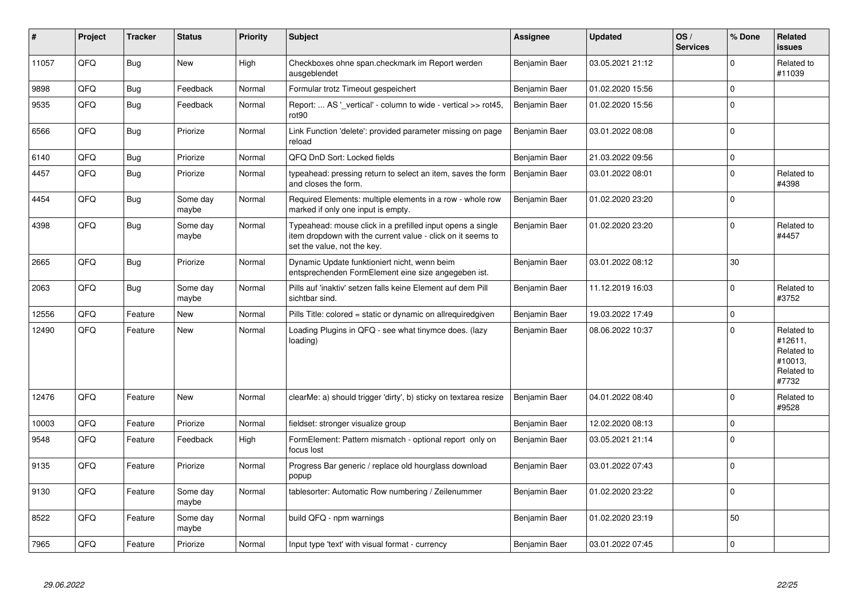| #     | Project | <b>Tracker</b> | <b>Status</b>     | <b>Priority</b> | <b>Subject</b>                                                                                                                                           | <b>Assignee</b> | <b>Updated</b>   | OS/<br><b>Services</b> | % Done      | Related<br><b>issues</b>                                              |
|-------|---------|----------------|-------------------|-----------------|----------------------------------------------------------------------------------------------------------------------------------------------------------|-----------------|------------------|------------------------|-------------|-----------------------------------------------------------------------|
| 11057 | QFQ     | <b>Bug</b>     | New               | High            | Checkboxes ohne span.checkmark im Report werden<br>ausgeblendet                                                                                          | Benjamin Baer   | 03.05.2021 21:12 |                        | $\Omega$    | Related to<br>#11039                                                  |
| 9898  | QFQ     | Bug            | Feedback          | Normal          | Formular trotz Timeout gespeichert                                                                                                                       | Benjamin Baer   | 01.02.2020 15:56 |                        | $\mathbf 0$ |                                                                       |
| 9535  | QFQ     | <b>Bug</b>     | Feedback          | Normal          | Report:  AS ' vertical' - column to wide - vertical >> rot45,<br>rot <sub>90</sub>                                                                       | Benjamin Baer   | 01.02.2020 15:56 |                        | $\mathbf 0$ |                                                                       |
| 6566  | QFQ     | Bug            | Priorize          | Normal          | Link Function 'delete': provided parameter missing on page<br>reload                                                                                     | Benjamin Baer   | 03.01.2022 08:08 |                        | $\Omega$    |                                                                       |
| 6140  | QFQ     | Bug            | Priorize          | Normal          | QFQ DnD Sort: Locked fields                                                                                                                              | Benjamin Baer   | 21.03.2022 09:56 |                        | $\mathbf 0$ |                                                                       |
| 4457  | QFQ     | <b>Bug</b>     | Priorize          | Normal          | typeahead: pressing return to select an item, saves the form<br>and closes the form.                                                                     | Benjamin Baer   | 03.01.2022 08:01 |                        | $\mathbf 0$ | Related to<br>#4398                                                   |
| 4454  | QFQ     | Bug            | Some day<br>maybe | Normal          | Required Elements: multiple elements in a row - whole row<br>marked if only one input is empty.                                                          | Benjamin Baer   | 01.02.2020 23:20 |                        | $\mathbf 0$ |                                                                       |
| 4398  | QFQ     | <b>Bug</b>     | Some day<br>maybe | Normal          | Typeahead: mouse click in a prefilled input opens a single<br>item dropdown with the current value - click on it seems to<br>set the value, not the key. | Benjamin Baer   | 01.02.2020 23:20 |                        | $\Omega$    | Related to<br>#4457                                                   |
| 2665  | QFQ     | Bug            | Priorize          | Normal          | Dynamic Update funktioniert nicht, wenn beim<br>entsprechenden FormElement eine size angegeben ist.                                                      | Benjamin Baer   | 03.01.2022 08:12 |                        | 30          |                                                                       |
| 2063  | QFQ     | <b>Bug</b>     | Some day<br>maybe | Normal          | Pills auf 'inaktiv' setzen falls keine Element auf dem Pill<br>sichtbar sind.                                                                            | Benjamin Baer   | 11.12.2019 16:03 |                        | $\Omega$    | Related to<br>#3752                                                   |
| 12556 | QFQ     | Feature        | <b>New</b>        | Normal          | Pills Title: colored = static or dynamic on allrequiredgiven                                                                                             | Benjamin Baer   | 19.03.2022 17:49 |                        | $\mathbf 0$ |                                                                       |
| 12490 | QFQ     | Feature        | <b>New</b>        | Normal          | Loading Plugins in QFQ - see what tinymce does. (lazy<br>loading)                                                                                        | Benjamin Baer   | 08.06.2022 10:37 |                        | $\Omega$    | Related to<br>#12611,<br>Related to<br>#10013,<br>Related to<br>#7732 |
| 12476 | QFQ     | Feature        | New               | Normal          | clearMe: a) should trigger 'dirty', b) sticky on textarea resize                                                                                         | Benjamin Baer   | 04.01.2022 08:40 |                        | $\mathbf 0$ | Related to<br>#9528                                                   |
| 10003 | QFQ     | Feature        | Priorize          | Normal          | fieldset: stronger visualize group                                                                                                                       | Benjamin Baer   | 12.02.2020 08:13 |                        | $\mathbf 0$ |                                                                       |
| 9548  | QFQ     | Feature        | Feedback          | High            | FormElement: Pattern mismatch - optional report only on<br>focus lost                                                                                    | Benjamin Baer   | 03.05.2021 21:14 |                        | $\mathbf 0$ |                                                                       |
| 9135  | QFQ     | Feature        | Priorize          | Normal          | Progress Bar generic / replace old hourglass download<br>popup                                                                                           | Benjamin Baer   | 03.01.2022 07:43 |                        | $\Omega$    |                                                                       |
| 9130  | QFQ     | Feature        | Some day<br>maybe | Normal          | tablesorter: Automatic Row numbering / Zeilenummer                                                                                                       | Benjamin Baer   | 01.02.2020 23:22 |                        | $\Omega$    |                                                                       |
| 8522  | QFQ     | Feature        | Some day<br>maybe | Normal          | build QFQ - npm warnings                                                                                                                                 | Benjamin Baer   | 01.02.2020 23:19 |                        | 50          |                                                                       |
| 7965  | QFQ     | Feature        | Priorize          | Normal          | Input type 'text' with visual format - currency                                                                                                          | Benjamin Baer   | 03.01.2022 07:45 |                        | $\pmb{0}$   |                                                                       |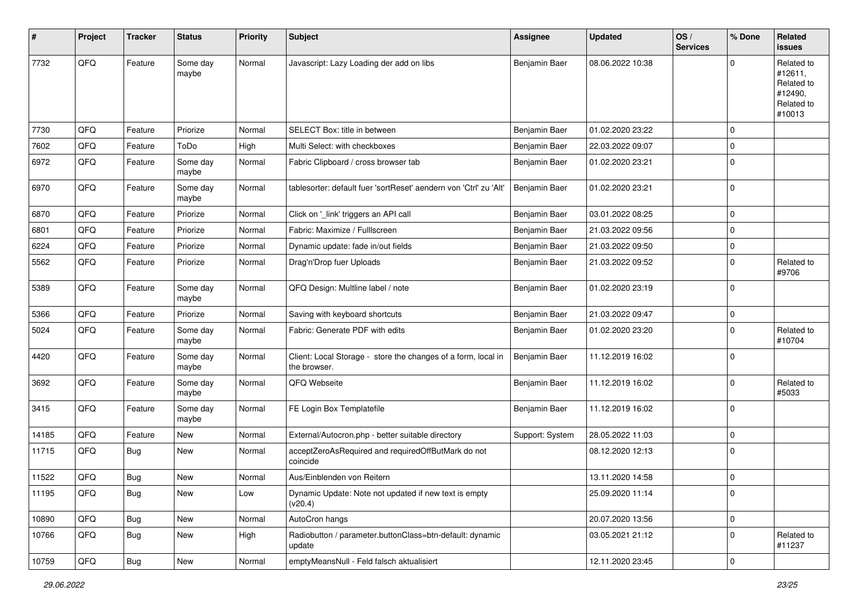| #     | Project | <b>Tracker</b> | <b>Status</b>     | <b>Priority</b> | Subject                                                                       | <b>Assignee</b> | <b>Updated</b>   | OS/<br><b>Services</b> | % Done      | <b>Related</b><br><b>issues</b>                                        |
|-------|---------|----------------|-------------------|-----------------|-------------------------------------------------------------------------------|-----------------|------------------|------------------------|-------------|------------------------------------------------------------------------|
| 7732  | QFQ     | Feature        | Some day<br>maybe | Normal          | Javascript: Lazy Loading der add on libs                                      | Benjamin Baer   | 08.06.2022 10:38 |                        | $\Omega$    | Related to<br>#12611,<br>Related to<br>#12490,<br>Related to<br>#10013 |
| 7730  | QFQ     | Feature        | Priorize          | Normal          | SELECT Box: title in between                                                  | Benjamin Baer   | 01.02.2020 23:22 |                        | $\mathbf 0$ |                                                                        |
| 7602  | QFQ     | Feature        | ToDo              | High            | Multi Select: with checkboxes                                                 | Benjamin Baer   | 22.03.2022 09:07 |                        | $\mathbf 0$ |                                                                        |
| 6972  | QFQ     | Feature        | Some day<br>maybe | Normal          | Fabric Clipboard / cross browser tab                                          | Benjamin Baer   | 01.02.2020 23:21 |                        | $\mathbf 0$ |                                                                        |
| 6970  | QFQ     | Feature        | Some day<br>maybe | Normal          | tablesorter: default fuer 'sortReset' aendern von 'Ctrl' zu 'Alt'             | Benjamin Baer   | 01.02.2020 23:21 |                        | $\mathbf 0$ |                                                                        |
| 6870  | QFQ     | Feature        | Priorize          | Normal          | Click on '_link' triggers an API call                                         | Benjamin Baer   | 03.01.2022 08:25 |                        | $\mathbf 0$ |                                                                        |
| 6801  | QFQ     | Feature        | Priorize          | Normal          | Fabric: Maximize / Fulllscreen                                                | Benjamin Baer   | 21.03.2022 09:56 |                        | $\Omega$    |                                                                        |
| 6224  | QFQ     | Feature        | Priorize          | Normal          | Dynamic update: fade in/out fields                                            | Benjamin Baer   | 21.03.2022 09:50 |                        | $\mathbf 0$ |                                                                        |
| 5562  | QFQ     | Feature        | Priorize          | Normal          | Drag'n'Drop fuer Uploads                                                      | Benjamin Baer   | 21.03.2022 09:52 |                        | $\mathbf 0$ | Related to<br>#9706                                                    |
| 5389  | QFQ     | Feature        | Some day<br>maybe | Normal          | QFQ Design: Multline label / note                                             | Benjamin Baer   | 01.02.2020 23:19 |                        | $\mathbf 0$ |                                                                        |
| 5366  | QFQ     | Feature        | Priorize          | Normal          | Saving with keyboard shortcuts                                                | Benjamin Baer   | 21.03.2022 09:47 |                        | $\mathbf 0$ |                                                                        |
| 5024  | QFQ     | Feature        | Some day<br>maybe | Normal          | Fabric: Generate PDF with edits                                               | Benjamin Baer   | 01.02.2020 23:20 |                        | 0           | Related to<br>#10704                                                   |
| 4420  | QFQ     | Feature        | Some day<br>maybe | Normal          | Client: Local Storage - store the changes of a form, local in<br>the browser. | Benjamin Baer   | 11.12.2019 16:02 |                        | $\mathbf 0$ |                                                                        |
| 3692  | QFQ     | Feature        | Some day<br>maybe | Normal          | QFQ Webseite                                                                  | Benjamin Baer   | 11.12.2019 16:02 |                        | $\mathbf 0$ | Related to<br>#5033                                                    |
| 3415  | QFQ     | Feature        | Some day<br>maybe | Normal          | FE Login Box Templatefile                                                     | Benjamin Baer   | 11.12.2019 16:02 |                        | $\mathbf 0$ |                                                                        |
| 14185 | QFQ     | Feature        | New               | Normal          | External/Autocron.php - better suitable directory                             | Support: System | 28.05.2022 11:03 |                        | $\mathbf 0$ |                                                                        |
| 11715 | QFQ     | Bug            | New               | Normal          | acceptZeroAsRequired and requiredOffButMark do not<br>coincide                |                 | 08.12.2020 12:13 |                        | $\mathbf 0$ |                                                                        |
| 11522 | QFQ     | <b>Bug</b>     | New               | Normal          | Aus/Einblenden von Reitern                                                    |                 | 13.11.2020 14:58 |                        | 0           |                                                                        |
| 11195 | QFQ     | Bug            | New               | Low             | Dynamic Update: Note not updated if new text is empty<br>(v20.4)              |                 | 25.09.2020 11:14 |                        | $\mathbf 0$ |                                                                        |
| 10890 | QFQ     | Bug            | New               | Normal          | AutoCron hangs                                                                |                 | 20.07.2020 13:56 |                        | $\mathbf 0$ |                                                                        |
| 10766 | QFQ     | Bug            | New               | High            | Radiobutton / parameter.buttonClass=btn-default: dynamic<br>update            |                 | 03.05.2021 21:12 |                        | $\mathbf 0$ | Related to<br>#11237                                                   |
| 10759 | QFQ     | Bug            | New               | Normal          | emptyMeansNull - Feld falsch aktualisiert                                     |                 | 12.11.2020 23:45 |                        | 0           |                                                                        |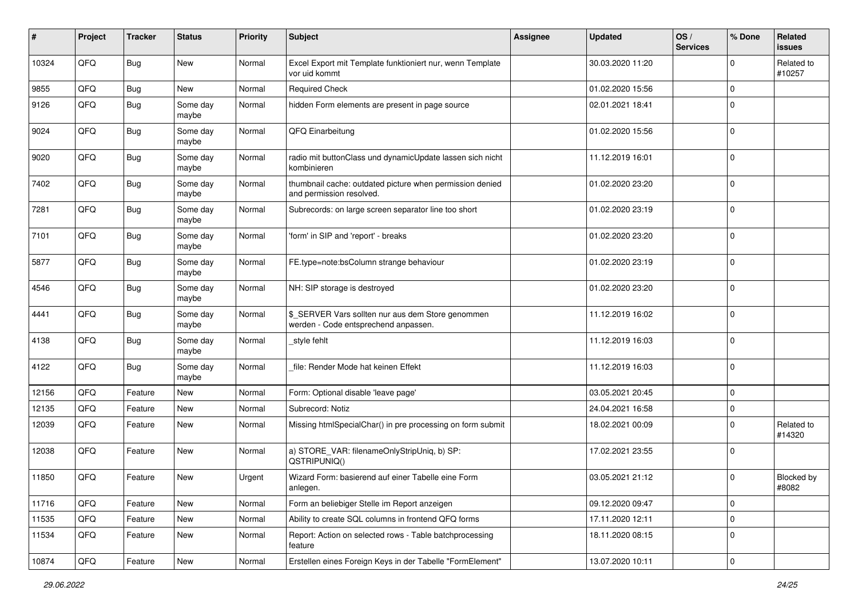| ∦     | Project | <b>Tracker</b> | <b>Status</b>     | <b>Priority</b> | <b>Subject</b>                                                                            | <b>Assignee</b> | <b>Updated</b>   | OS/<br><b>Services</b> | % Done              | <b>Related</b><br><b>issues</b> |
|-------|---------|----------------|-------------------|-----------------|-------------------------------------------------------------------------------------------|-----------------|------------------|------------------------|---------------------|---------------------------------|
| 10324 | QFQ     | <b>Bug</b>     | <b>New</b>        | Normal          | Excel Export mit Template funktioniert nur, wenn Template<br>vor uid kommt                |                 | 30.03.2020 11:20 |                        | $\mathbf 0$         | Related to<br>#10257            |
| 9855  | QFQ     | Bug            | <b>New</b>        | Normal          | <b>Required Check</b>                                                                     |                 | 01.02.2020 15:56 |                        | $\mathbf 0$         |                                 |
| 9126  | QFQ     | <b>Bug</b>     | Some day<br>maybe | Normal          | hidden Form elements are present in page source                                           |                 | 02.01.2021 18:41 |                        | $\mathbf 0$         |                                 |
| 9024  | QFQ     | <b>Bug</b>     | Some day<br>maybe | Normal          | QFQ Einarbeitung                                                                          |                 | 01.02.2020 15:56 |                        | $\mathbf 0$         |                                 |
| 9020  | QFQ     | <b>Bug</b>     | Some day<br>maybe | Normal          | radio mit buttonClass und dynamicUpdate lassen sich nicht<br>kombinieren                  |                 | 11.12.2019 16:01 |                        | $\mathbf 0$         |                                 |
| 7402  | QFQ     | <b>Bug</b>     | Some day<br>maybe | Normal          | thumbnail cache: outdated picture when permission denied<br>and permission resolved.      |                 | 01.02.2020 23:20 |                        | $\mathbf 0$         |                                 |
| 7281  | QFQ     | <b>Bug</b>     | Some day<br>maybe | Normal          | Subrecords: on large screen separator line too short                                      |                 | 01.02.2020 23:19 |                        | $\mathbf 0$         |                                 |
| 7101  | QFQ     | Bug            | Some day<br>maybe | Normal          | 'form' in SIP and 'report' - breaks                                                       |                 | 01.02.2020 23:20 |                        | $\mathbf 0$         |                                 |
| 5877  | QFQ     | Bug            | Some day<br>maybe | Normal          | FE.type=note:bsColumn strange behaviour                                                   |                 | 01.02.2020 23:19 |                        | $\mathbf 0$         |                                 |
| 4546  | QFQ     | <b>Bug</b>     | Some day<br>maybe | Normal          | NH: SIP storage is destroyed                                                              |                 | 01.02.2020 23:20 |                        | $\mathbf 0$         |                                 |
| 4441  | QFQ     | <b>Bug</b>     | Some day<br>maybe | Normal          | \$_SERVER Vars sollten nur aus dem Store genommen<br>werden - Code entsprechend anpassen. |                 | 11.12.2019 16:02 |                        | $\mathbf 0$         |                                 |
| 4138  | QFQ     | Bug            | Some day<br>maybe | Normal          | style fehlt                                                                               |                 | 11.12.2019 16:03 |                        | $\mathbf 0$         |                                 |
| 4122  | QFQ     | <b>Bug</b>     | Some day<br>maybe | Normal          | file: Render Mode hat keinen Effekt                                                       |                 | 11.12.2019 16:03 |                        | $\mathbf 0$         |                                 |
| 12156 | QFQ     | Feature        | <b>New</b>        | Normal          | Form: Optional disable 'leave page'                                                       |                 | 03.05.2021 20:45 |                        | $\mathbf 0$         |                                 |
| 12135 | QFQ     | Feature        | New               | Normal          | Subrecord: Notiz                                                                          |                 | 24.04.2021 16:58 |                        | $\mathbf 0$         |                                 |
| 12039 | QFQ     | Feature        | <b>New</b>        | Normal          | Missing htmlSpecialChar() in pre processing on form submit                                |                 | 18.02.2021 00:09 |                        | $\mathbf 0$         | Related to<br>#14320            |
| 12038 | QFQ     | Feature        | <b>New</b>        | Normal          | a) STORE_VAR: filenameOnlyStripUniq, b) SP:<br>QSTRIPUNIQ()                               |                 | 17.02.2021 23:55 |                        | $\mathbf 0$         |                                 |
| 11850 | QFQ     | Feature        | <b>New</b>        | Urgent          | Wizard Form: basierend auf einer Tabelle eine Form<br>aniegen.                            |                 | 03.05.2021 21:12 |                        | $\mathbf 0$         | Blocked by<br>#8082             |
| 11716 | QFQ     | Feature        | New               | Normal          | Form an beliebiger Stelle im Report anzeigen                                              |                 | 09.12.2020 09:47 |                        | $\mathbf 0$         |                                 |
| 11535 | QFQ     | Feature        | New               | Normal          | Ability to create SQL columns in frontend QFQ forms                                       |                 | 17.11.2020 12:11 |                        | $\mathbf 0$         |                                 |
| 11534 | QFQ     | Feature        | New               | Normal          | Report: Action on selected rows - Table batchprocessing<br>feature                        |                 | 18.11.2020 08:15 |                        | $\mathsf 0$         |                                 |
| 10874 | QFQ     | Feature        | New               | Normal          | Erstellen eines Foreign Keys in der Tabelle "FormElement"                                 |                 | 13.07.2020 10:11 |                        | $\mathsf{O}\xspace$ |                                 |